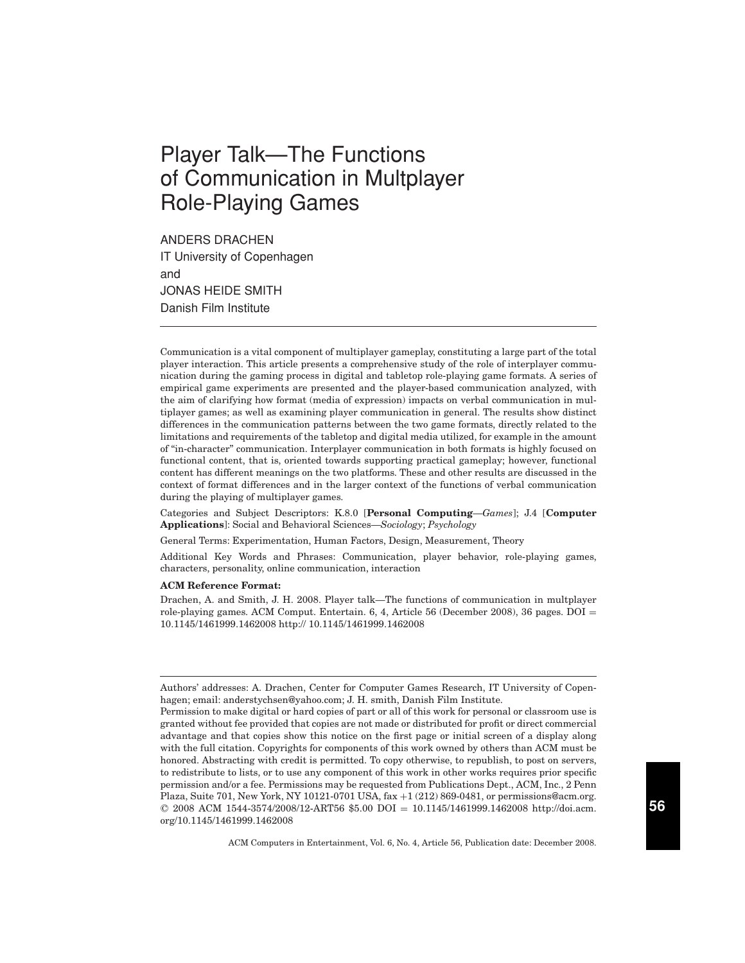# Player Talk—The Functions of Communication in Multplayer Role-Playing Games

ANDERS DRACHEN IT University of Copenhagen and JONAS HEIDE SMITH Danish Film Institute

Communication is a vital component of multiplayer gameplay, constituting a large part of the total player interaction. This article presents a comprehensive study of the role of interplayer communication during the gaming process in digital and tabletop role-playing game formats. A series of empirical game experiments are presented and the player-based communication analyzed, with the aim of clarifying how format (media of expression) impacts on verbal communication in multiplayer games; as well as examining player communication in general. The results show distinct differences in the communication patterns between the two game formats, directly related to the limitations and requirements of the tabletop and digital media utilized, for example in the amount of "in-character" communication. Interplayer communication in both formats is highly focused on functional content, that is, oriented towards supporting practical gameplay; however, functional content has different meanings on the two platforms. These and other results are discussed in the context of format differences and in the larger context of the functions of verbal communication during the playing of multiplayer games.

Categories and Subject Descriptors: K.8.0 [**Personal Computing**—*Games*]; J.4 [**Computer Applications**]: Social and Behavioral Sciences—*Sociology*; *Psychology*

General Terms: Experimentation, Human Factors, Design, Measurement, Theory

Additional Key Words and Phrases: Communication, player behavior, role-playing games, characters, personality, online communication, interaction

#### **ACM Reference Format:**

Drachen, A. and Smith, J. H. 2008. Player talk—The functions of communication in multplayer role-playing games. ACM Comput. Entertain.  $6, 4$ , Article 56 (December 2008), 36 pages. DOI = 10.1145/1461999.1462008 http:// 10.1145/1461999.1462008

Authors' addresses: A. Drachen, Center for Computer Games Research, IT University of Copenhagen; email: anderstychsen@yahoo.com; J. H. smith, Danish Film Institute.

Permission to make digital or hard copies of part or all of this work for personal or classroom use is granted without fee provided that copies are not made or distributed for profit or direct commercial advantage and that copies show this notice on the first page or initial screen of a display along with the full citation. Copyrights for components of this work owned by others than ACM must be honored. Abstracting with credit is permitted. To copy otherwise, to republish, to post on servers, to redistribute to lists, or to use any component of this work in other works requires prior specific permission and/or a fee. Permissions may be requested from Publications Dept., ACM, Inc., 2 Penn Plaza, Suite 701, New York, NY 10121-0701 USA,  $\text{far } +1$  (212) 869-0481, or permissions@acm.org. © 2008 ACM 1544-3574/2008/12-ART56 \$5.00 DOI = 10.1145/1461999.1462008 http://doi.acm. org/10.1145/1461999.1462008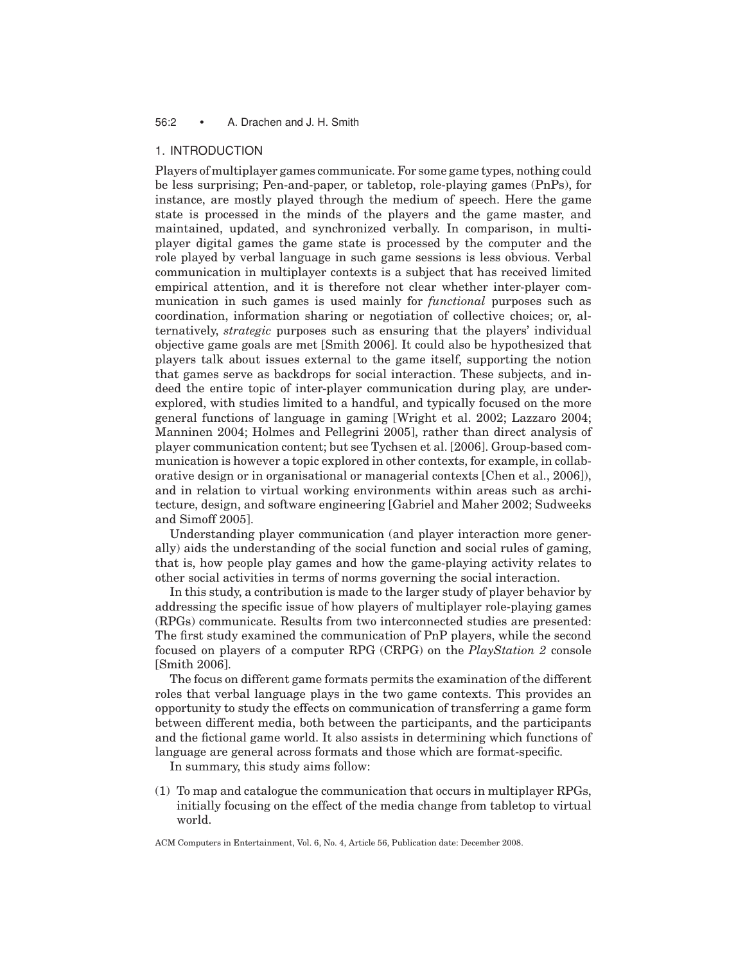#### 56:2 • A. Drachen and J. H. Smith

#### 1. INTRODUCTION

Players of multiplayer games communicate. For some game types, nothing could be less surprising; Pen-and-paper, or tabletop, role-playing games (PnPs), for instance, are mostly played through the medium of speech. Here the game state is processed in the minds of the players and the game master, and maintained, updated, and synchronized verbally. In comparison, in multiplayer digital games the game state is processed by the computer and the role played by verbal language in such game sessions is less obvious. Verbal communication in multiplayer contexts is a subject that has received limited empirical attention, and it is therefore not clear whether inter-player communication in such games is used mainly for *functional* purposes such as coordination, information sharing or negotiation of collective choices; or, alternatively, *strategic* purposes such as ensuring that the players' individual objective game goals are met [Smith 2006]. It could also be hypothesized that players talk about issues external to the game itself, supporting the notion that games serve as backdrops for social interaction. These subjects, and indeed the entire topic of inter-player communication during play, are underexplored, with studies limited to a handful, and typically focused on the more general functions of language in gaming [Wright et al. 2002; Lazzaro 2004; Manninen 2004; Holmes and Pellegrini 2005], rather than direct analysis of player communication content; but see Tychsen et al. [2006]. Group-based communication is however a topic explored in other contexts, for example, in collaborative design or in organisational or managerial contexts [Chen et al., 2006]), and in relation to virtual working environments within areas such as architecture, design, and software engineering [Gabriel and Maher 2002; Sudweeks and Simoff 2005].

Understanding player communication (and player interaction more generally) aids the understanding of the social function and social rules of gaming, that is, how people play games and how the game-playing activity relates to other social activities in terms of norms governing the social interaction.

In this study, a contribution is made to the larger study of player behavior by addressing the specific issue of how players of multiplayer role-playing games (RPGs) communicate. Results from two interconnected studies are presented: The first study examined the communication of PnP players, while the second focused on players of a computer RPG (CRPG) on the *PlayStation 2* console [Smith 2006].

The focus on different game formats permits the examination of the different roles that verbal language plays in the two game contexts. This provides an opportunity to study the effects on communication of transferring a game form between different media, both between the participants, and the participants and the fictional game world. It also assists in determining which functions of language are general across formats and those which are format-specific.

In summary, this study aims follow:

(1) To map and catalogue the communication that occurs in multiplayer RPGs, initially focusing on the effect of the media change from tabletop to virtual world.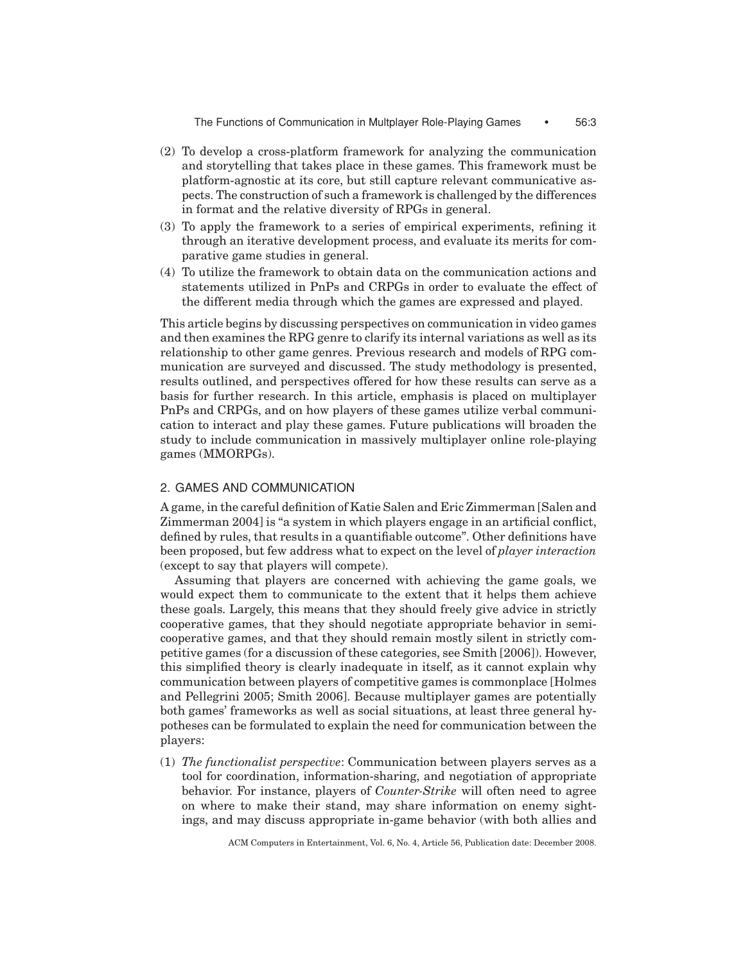- (2) To develop a cross-platform framework for analyzing the communication and storytelling that takes place in these games. This framework must be platform-agnostic at its core, but still capture relevant communicative aspects. The construction of such a framework is challenged by the differences in format and the relative diversity of RPGs in general.
- (3) To apply the framework to a series of empirical experiments, refining it through an iterative development process, and evaluate its merits for comparative game studies in general.
- (4) To utilize the framework to obtain data on the communication actions and statements utilized in PnPs and CRPGs in order to evaluate the effect of the different media through which the games are expressed and played.

This article begins by discussing perspectives on communication in video games and then examines the RPG genre to clarify its internal variations as well as its relationship to other game genres. Previous research and models of RPG communication are surveyed and discussed. The study methodology is presented, results outlined, and perspectives offered for how these results can serve as a basis for further research. In this article, emphasis is placed on multiplayer PnPs and CRPGs, and on how players of these games utilize verbal communication to interact and play these games. Future publications will broaden the study to include communication in massively multiplayer online role-playing games (MMORPGs).

# 2. GAMES AND COMMUNICATION

A game, in the careful definition of Katie Salen and Eric Zimmerman [Salen and Zimmerman 2004] is "a system in which players engage in an artificial conflict, defined by rules, that results in a quantifiable outcome". Other definitions have been proposed, but few address what to expect on the level of *player interaction* (except to say that players will compete).

Assuming that players are concerned with achieving the game goals, we would expect them to communicate to the extent that it helps them achieve these goals. Largely, this means that they should freely give advice in strictly cooperative games, that they should negotiate appropriate behavior in semicooperative games, and that they should remain mostly silent in strictly competitive games (for a discussion of these categories, see Smith [2006]). However, this simplified theory is clearly inadequate in itself, as it cannot explain why communication between players of competitive games is commonplace [Holmes and Pellegrini 2005; Smith 2006]. Because multiplayer games are potentially both games' frameworks as well as social situations, at least three general hypotheses can be formulated to explain the need for communication between the players:

(1) *The functionalist perspective*: Communication between players serves as a tool for coordination, information-sharing, and negotiation of appropriate behavior. For instance, players of *Counter-Strike* will often need to agree on where to make their stand, may share information on enemy sightings, and may discuss appropriate in-game behavior (with both allies and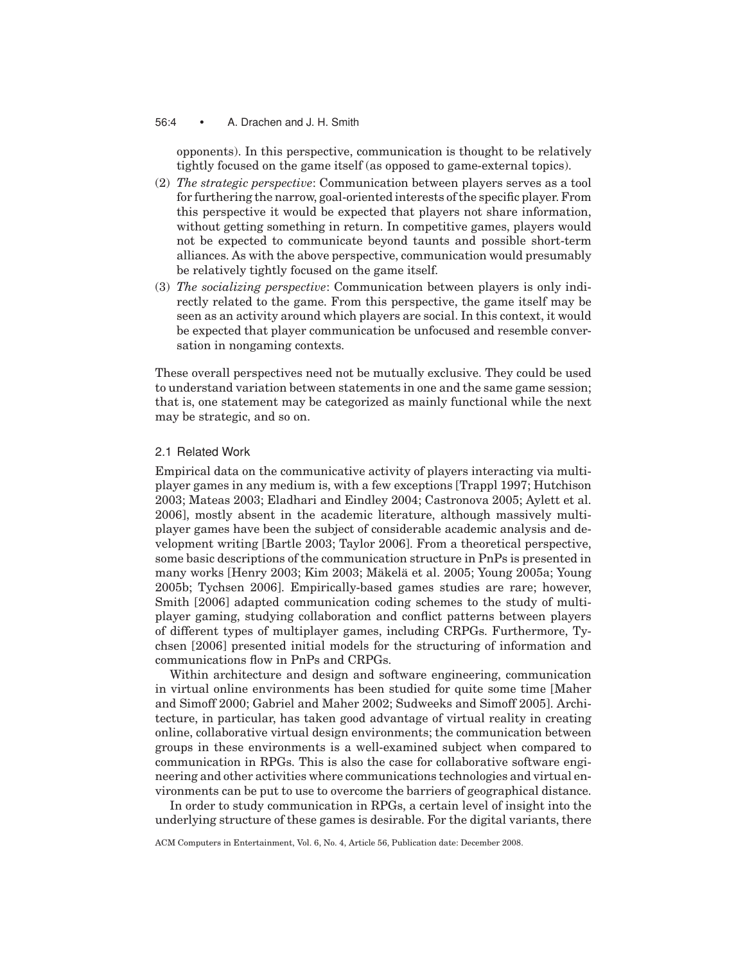#### 56:4 • A. Drachen and J. H. Smith

opponents). In this perspective, communication is thought to be relatively tightly focused on the game itself (as opposed to game-external topics).

- (2) *The strategic perspective*: Communication between players serves as a tool for furthering the narrow, goal-oriented interests of the specific player. From this perspective it would be expected that players not share information, without getting something in return. In competitive games, players would not be expected to communicate beyond taunts and possible short-term alliances. As with the above perspective, communication would presumably be relatively tightly focused on the game itself.
- (3) *The socializing perspective*: Communication between players is only indirectly related to the game. From this perspective, the game itself may be seen as an activity around which players are social. In this context, it would be expected that player communication be unfocused and resemble conversation in nongaming contexts.

These overall perspectives need not be mutually exclusive. They could be used to understand variation between statements in one and the same game session; that is, one statement may be categorized as mainly functional while the next may be strategic, and so on.

## 2.1 Related Work

Empirical data on the communicative activity of players interacting via multiplayer games in any medium is, with a few exceptions [Trappl 1997; Hutchison 2003; Mateas 2003; Eladhari and Eindley 2004; Castronova 2005; Aylett et al. 2006], mostly absent in the academic literature, although massively multiplayer games have been the subject of considerable academic analysis and development writing [Bartle 2003; Taylor 2006]. From a theoretical perspective, some basic descriptions of the communication structure in PnPs is presented in many works [Henry 2003; Kim 2003; Mäkelä et al. 2005; Young 2005a; Young 2005b; Tychsen 2006]. Empirically-based games studies are rare; however, Smith [2006] adapted communication coding schemes to the study of multiplayer gaming, studying collaboration and conflict patterns between players of different types of multiplayer games, including CRPGs. Furthermore, Tychsen [2006] presented initial models for the structuring of information and communications flow in PnPs and CRPGs.

Within architecture and design and software engineering, communication in virtual online environments has been studied for quite some time [Maher and Simoff 2000; Gabriel and Maher 2002; Sudweeks and Simoff 2005]. Architecture, in particular, has taken good advantage of virtual reality in creating online, collaborative virtual design environments; the communication between groups in these environments is a well-examined subject when compared to communication in RPGs. This is also the case for collaborative software engineering and other activities where communications technologies and virtual environments can be put to use to overcome the barriers of geographical distance.

In order to study communication in RPGs, a certain level of insight into the underlying structure of these games is desirable. For the digital variants, there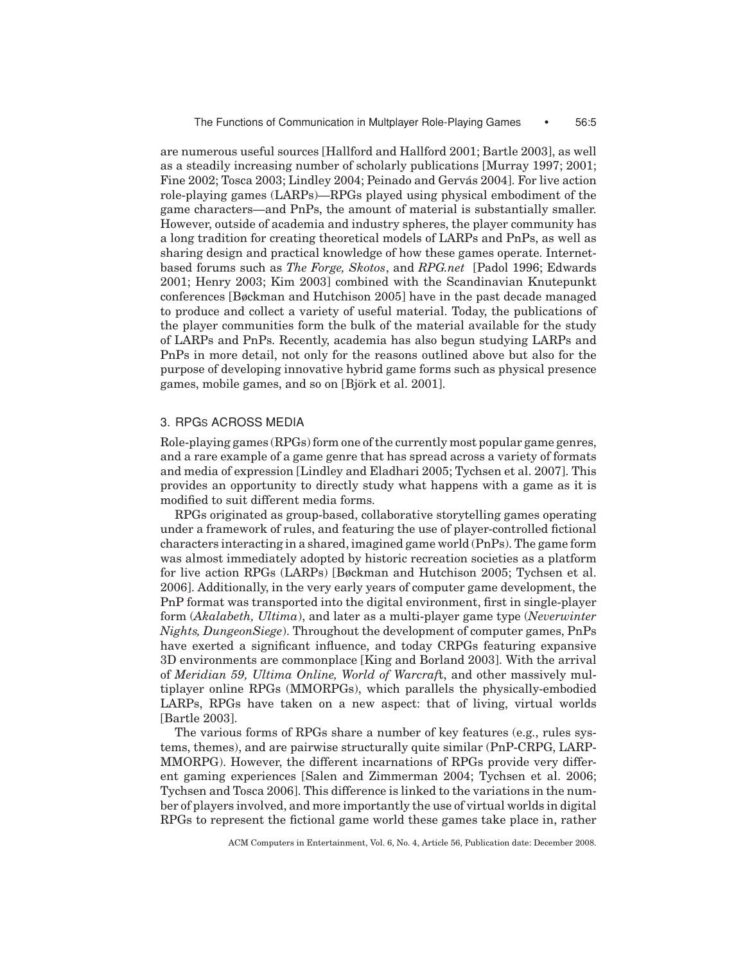are numerous useful sources [Hallford and Hallford 2001; Bartle 2003], as well as a steadily increasing number of scholarly publications [Murray 1997; 2001; Fine 2002; Tosca 2003; Lindley 2004; Peinado and Gervás 2004]. For live action role-playing games (LARPs)—RPGs played using physical embodiment of the game characters—and PnPs, the amount of material is substantially smaller. However, outside of academia and industry spheres, the player community has a long tradition for creating theoretical models of LARPs and PnPs, as well as sharing design and practical knowledge of how these games operate. Internetbased forums such as *The Forge, Skotos*, and *RPG.net* [Padol 1996; Edwards 2001; Henry 2003; Kim 2003] combined with the Scandinavian Knutepunkt conferences [Bøckman and Hutchison 2005] have in the past decade managed to produce and collect a variety of useful material. Today, the publications of the player communities form the bulk of the material available for the study of LARPs and PnPs. Recently, academia has also begun studying LARPs and PnPs in more detail, not only for the reasons outlined above but also for the purpose of developing innovative hybrid game forms such as physical presence games, mobile games, and so on [Björk et al. 2001].

# 3. RPGS ACROSS MEDIA

Role-playing games (RPGs) form one of the currently most popular game genres, and a rare example of a game genre that has spread across a variety of formats and media of expression [Lindley and Eladhari 2005; Tychsen et al. 2007]. This provides an opportunity to directly study what happens with a game as it is modified to suit different media forms.

RPGs originated as group-based, collaborative storytelling games operating under a framework of rules, and featuring the use of player-controlled fictional characters interacting in a shared, imagined game world (PnPs). The game form was almost immediately adopted by historic recreation societies as a platform for live action RPGs (LARPs) [Bøckman and Hutchison 2005; Tychsen et al. 2006]. Additionally, in the very early years of computer game development, the PnP format was transported into the digital environment, first in single-player form (*Akalabeth, Ultima*), and later as a multi-player game type (*Neverwinter Nights, DungeonSiege*). Throughout the development of computer games, PnPs have exerted a significant influence, and today CRPGs featuring expansive 3D environments are commonplace [King and Borland 2003]. With the arrival of *Meridian 59, Ultima Online, World of Warcraf*t, and other massively multiplayer online RPGs (MMORPGs), which parallels the physically-embodied LARPs, RPGs have taken on a new aspect: that of living, virtual worlds [Bartle 2003].

The various forms of RPGs share a number of key features (e.g., rules systems, themes), and are pairwise structurally quite similar (PnP-CRPG, LARP-MMORPG). However, the different incarnations of RPGs provide very different gaming experiences [Salen and Zimmerman 2004; Tychsen et al. 2006; Tychsen and Tosca 2006]. This difference is linked to the variations in the number of players involved, and more importantly the use of virtual worlds in digital RPGs to represent the fictional game world these games take place in, rather

ACM Computers in Entertainment, Vol. 6, No. 4, Article 56, Publication date: December 2008.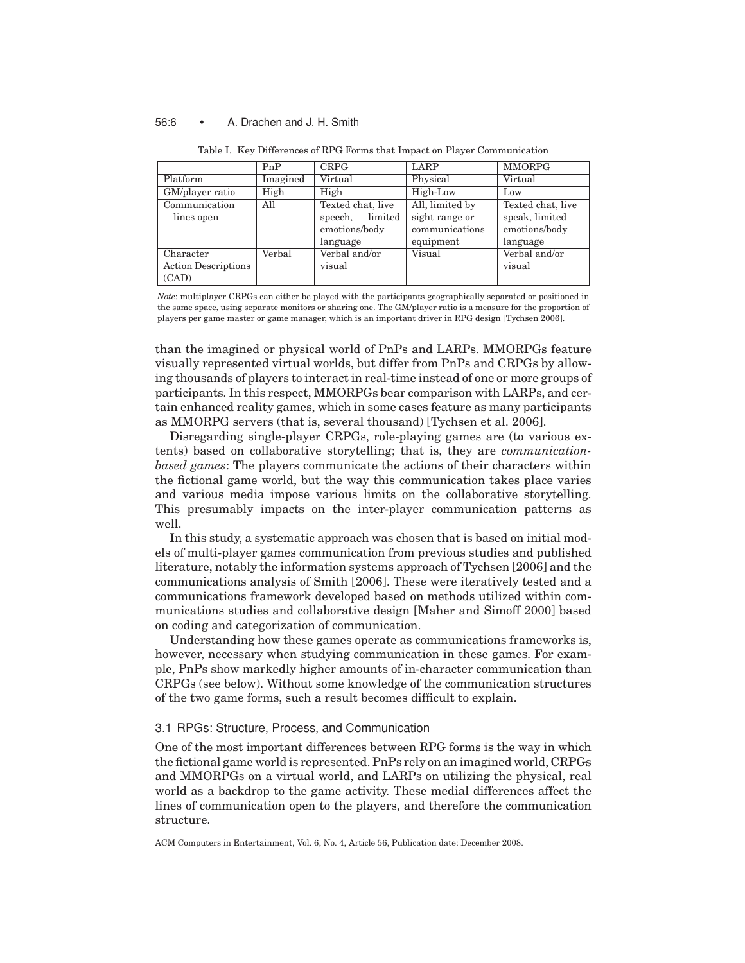#### 56:6 • A. Drachen and J. H. Smith

|                            | PnP      | <b>CRPG</b>        | LARP            | <b>MMORPG</b>     |  |
|----------------------------|----------|--------------------|-----------------|-------------------|--|
| Platform                   | Imagined | Virtual            | Physical        | Virtual           |  |
| GM/player ratio            | High     | High               | High-Low        | Low               |  |
| Communication              | All      | Texted chat, live  | All, limited by | Texted chat, live |  |
| lines open                 |          | limited<br>speech, | sight range or  | speak, limited    |  |
|                            |          | emotions/body      | communications  | emotions/body     |  |
|                            |          | language           | equipment       | language          |  |
| Character                  | Verbal   | Verbal and/or      | Visual          | Verbal and/or     |  |
| <b>Action Descriptions</b> |          | visual             |                 | visual            |  |
| (CAD)                      |          |                    |                 |                   |  |

Table I. Key Differences of RPG Forms that Impact on Player Communication

*Note*: multiplayer CRPGs can either be played with the participants geographically separated or positioned in the same space, using separate monitors or sharing one. The GM/player ratio is a measure for the proportion of players per game master or game manager, which is an important driver in RPG design [Tychsen 2006].

than the imagined or physical world of PnPs and LARPs. MMORPGs feature visually represented virtual worlds, but differ from PnPs and CRPGs by allowing thousands of players to interact in real-time instead of one or more groups of participants. In this respect, MMORPGs bear comparison with LARPs, and certain enhanced reality games, which in some cases feature as many participants as MMORPG servers (that is, several thousand) [Tychsen et al. 2006].

Disregarding single-player CRPGs, role-playing games are (to various extents) based on collaborative storytelling; that is, they are *communicationbased games*: The players communicate the actions of their characters within the fictional game world, but the way this communication takes place varies and various media impose various limits on the collaborative storytelling. This presumably impacts on the inter-player communication patterns as well.

In this study, a systematic approach was chosen that is based on initial models of multi-player games communication from previous studies and published literature, notably the information systems approach of Tychsen [2006] and the communications analysis of Smith [2006]. These were iteratively tested and a communications framework developed based on methods utilized within communications studies and collaborative design [Maher and Simoff 2000] based on coding and categorization of communication.

Understanding how these games operate as communications frameworks is, however, necessary when studying communication in these games. For example, PnPs show markedly higher amounts of in-character communication than CRPGs (see below). Without some knowledge of the communication structures of the two game forms, such a result becomes difficult to explain.

#### 3.1 RPGs: Structure, Process, and Communication

One of the most important differences between RPG forms is the way in which the fictional game world is represented. PnPs rely on an imagined world, CRPGs and MMORPGs on a virtual world, and LARPs on utilizing the physical, real world as a backdrop to the game activity. These medial differences affect the lines of communication open to the players, and therefore the communication structure.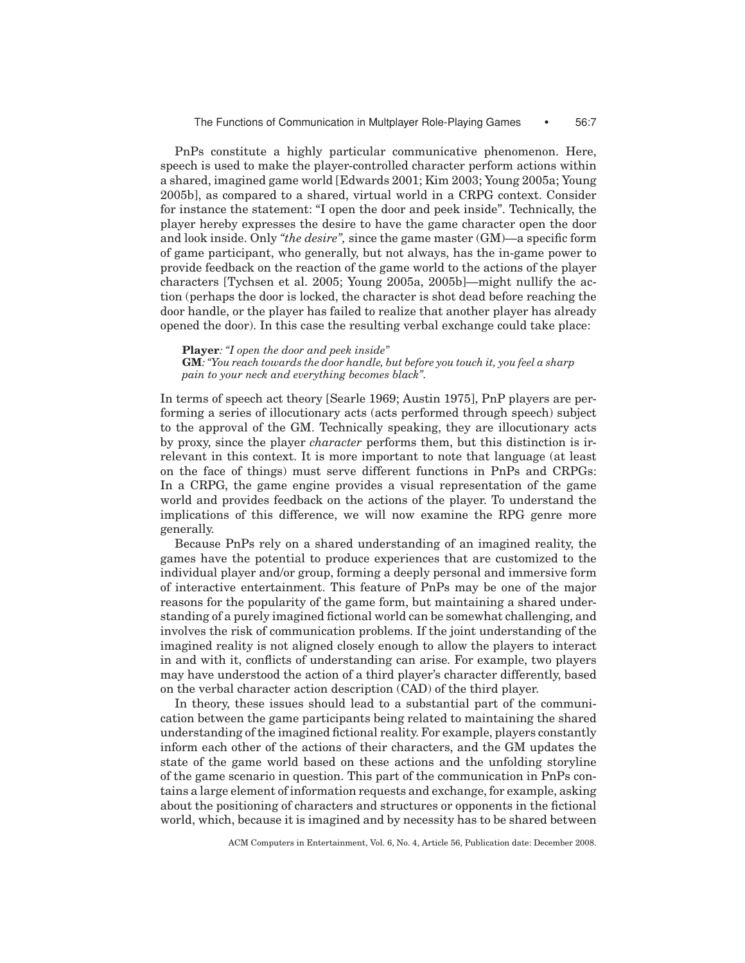PnPs constitute a highly particular communicative phenomenon. Here, speech is used to make the player-controlled character perform actions within a shared, imagined game world [Edwards 2001; Kim 2003; Young 2005a; Young 2005b], as compared to a shared, virtual world in a CRPG context. Consider for instance the statement: "I open the door and peek inside". Technically, the player hereby expresses the desire to have the game character open the door and look inside. Only *"the desire",* since the game master (GM)—a specific form of game participant, who generally, but not always, has the in-game power to provide feedback on the reaction of the game world to the actions of the player characters [Tychsen et al. 2005; Young 2005a, 2005b]—might nullify the action (perhaps the door is locked, the character is shot dead before reaching the door handle, or the player has failed to realize that another player has already opened the door). In this case the resulting verbal exchange could take place:

**Player***: "I open the door and peek inside"* **GM***: "You reach towards the door handle, but before you touch it, you feel a sharp pain to your neck and everything becomes black".*

In terms of speech act theory [Searle 1969; Austin 1975], PnP players are performing a series of illocutionary acts (acts performed through speech) subject to the approval of the GM. Technically speaking, they are illocutionary acts by proxy, since the player *character* performs them, but this distinction is irrelevant in this context. It is more important to note that language (at least on the face of things) must serve different functions in PnPs and CRPGs: In a CRPG, the game engine provides a visual representation of the game world and provides feedback on the actions of the player. To understand the implications of this difference, we will now examine the RPG genre more generally.

Because PnPs rely on a shared understanding of an imagined reality, the games have the potential to produce experiences that are customized to the individual player and/or group, forming a deeply personal and immersive form of interactive entertainment. This feature of PnPs may be one of the major reasons for the popularity of the game form, but maintaining a shared understanding of a purely imagined fictional world can be somewhat challenging, and involves the risk of communication problems. If the joint understanding of the imagined reality is not aligned closely enough to allow the players to interact in and with it, conflicts of understanding can arise. For example, two players may have understood the action of a third player's character differently, based on the verbal character action description (CAD) of the third player.

In theory, these issues should lead to a substantial part of the communication between the game participants being related to maintaining the shared understanding of the imagined fictional reality. For example, players constantly inform each other of the actions of their characters, and the GM updates the state of the game world based on these actions and the unfolding storyline of the game scenario in question. This part of the communication in PnPs contains a large element of information requests and exchange, for example, asking about the positioning of characters and structures or opponents in the fictional world, which, because it is imagined and by necessity has to be shared between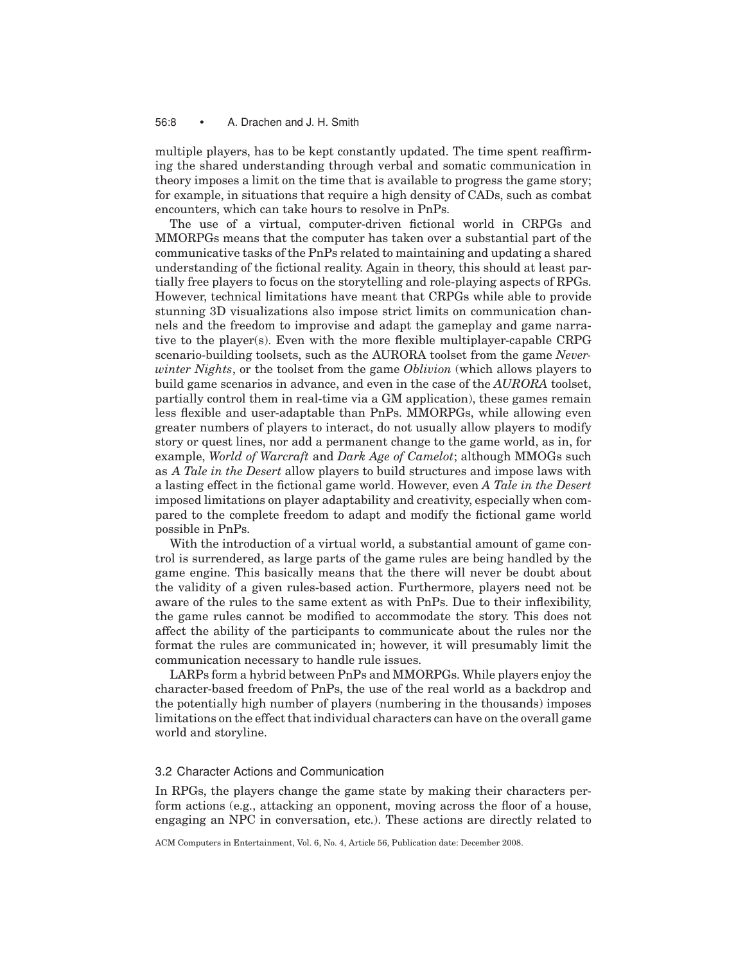#### 56:8 • A. Drachen and J. H. Smith

multiple players, has to be kept constantly updated. The time spent reaffirming the shared understanding through verbal and somatic communication in theory imposes a limit on the time that is available to progress the game story; for example, in situations that require a high density of CADs, such as combat encounters, which can take hours to resolve in PnPs.

The use of a virtual, computer-driven fictional world in CRPGs and MMORPGs means that the computer has taken over a substantial part of the communicative tasks of the PnPs related to maintaining and updating a shared understanding of the fictional reality. Again in theory, this should at least partially free players to focus on the storytelling and role-playing aspects of RPGs. However, technical limitations have meant that CRPGs while able to provide stunning 3D visualizations also impose strict limits on communication channels and the freedom to improvise and adapt the gameplay and game narrative to the player(s). Even with the more flexible multiplayer-capable CRPG scenario-building toolsets, such as the AURORA toolset from the game *Neverwinter Nights*, or the toolset from the game *Oblivion* (which allows players to build game scenarios in advance, and even in the case of the *AURORA* toolset, partially control them in real-time via a GM application), these games remain less flexible and user-adaptable than PnPs. MMORPGs, while allowing even greater numbers of players to interact, do not usually allow players to modify story or quest lines, nor add a permanent change to the game world, as in, for example, *World of Warcraft* and *Dark Age of Camelot*; although MMOGs such as *A Tale in the Desert* allow players to build structures and impose laws with a lasting effect in the fictional game world. However, even *A Tale in the Desert* imposed limitations on player adaptability and creativity, especially when compared to the complete freedom to adapt and modify the fictional game world possible in PnPs.

With the introduction of a virtual world, a substantial amount of game control is surrendered, as large parts of the game rules are being handled by the game engine. This basically means that the there will never be doubt about the validity of a given rules-based action. Furthermore, players need not be aware of the rules to the same extent as with PnPs. Due to their inflexibility, the game rules cannot be modified to accommodate the story. This does not affect the ability of the participants to communicate about the rules nor the format the rules are communicated in; however, it will presumably limit the communication necessary to handle rule issues.

LARPs form a hybrid between PnPs and MMORPGs. While players enjoy the character-based freedom of PnPs, the use of the real world as a backdrop and the potentially high number of players (numbering in the thousands) imposes limitations on the effect that individual characters can have on the overall game world and storyline.

## 3.2 Character Actions and Communication

In RPGs, the players change the game state by making their characters perform actions (e.g., attacking an opponent, moving across the floor of a house, engaging an NPC in conversation, etc.). These actions are directly related to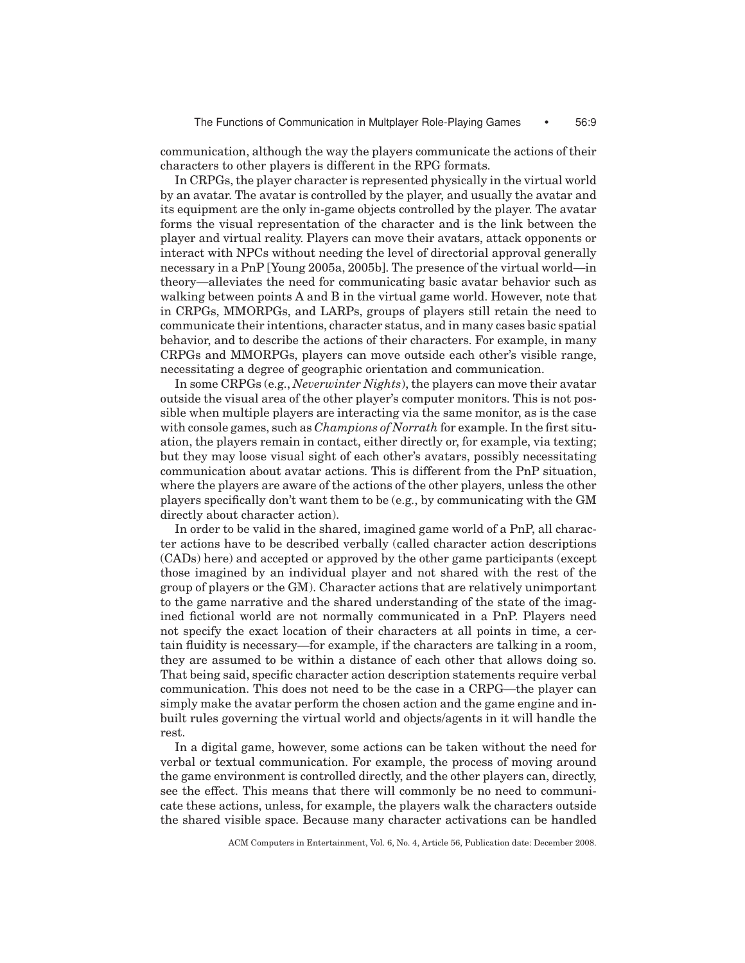communication, although the way the players communicate the actions of their characters to other players is different in the RPG formats.

In CRPGs, the player character is represented physically in the virtual world by an avatar. The avatar is controlled by the player, and usually the avatar and its equipment are the only in-game objects controlled by the player. The avatar forms the visual representation of the character and is the link between the player and virtual reality. Players can move their avatars, attack opponents or interact with NPCs without needing the level of directorial approval generally necessary in a PnP [Young 2005a, 2005b]. The presence of the virtual world—in theory—alleviates the need for communicating basic avatar behavior such as walking between points A and B in the virtual game world. However, note that in CRPGs, MMORPGs, and LARPs, groups of players still retain the need to communicate their intentions, character status, and in many cases basic spatial behavior, and to describe the actions of their characters. For example, in many CRPGs and MMORPGs, players can move outside each other's visible range, necessitating a degree of geographic orientation and communication.

In some CRPGs (e.g., *Neverwinter Nights*), the players can move their avatar outside the visual area of the other player's computer monitors. This is not possible when multiple players are interacting via the same monitor, as is the case with console games, such as *Champions of Norrath* for example. In the first situation, the players remain in contact, either directly or, for example, via texting; but they may loose visual sight of each other's avatars, possibly necessitating communication about avatar actions. This is different from the PnP situation, where the players are aware of the actions of the other players, unless the other players specifically don't want them to be (e.g., by communicating with the GM directly about character action).

In order to be valid in the shared, imagined game world of a PnP, all character actions have to be described verbally (called character action descriptions (CADs) here) and accepted or approved by the other game participants (except those imagined by an individual player and not shared with the rest of the group of players or the GM). Character actions that are relatively unimportant to the game narrative and the shared understanding of the state of the imagined fictional world are not normally communicated in a PnP. Players need not specify the exact location of their characters at all points in time, a certain fluidity is necessary—for example, if the characters are talking in a room, they are assumed to be within a distance of each other that allows doing so. That being said, specific character action description statements require verbal communication. This does not need to be the case in a CRPG—the player can simply make the avatar perform the chosen action and the game engine and inbuilt rules governing the virtual world and objects/agents in it will handle the rest.

In a digital game, however, some actions can be taken without the need for verbal or textual communication. For example, the process of moving around the game environment is controlled directly, and the other players can, directly, see the effect. This means that there will commonly be no need to communicate these actions, unless, for example, the players walk the characters outside the shared visible space. Because many character activations can be handled

ACM Computers in Entertainment, Vol. 6, No. 4, Article 56, Publication date: December 2008.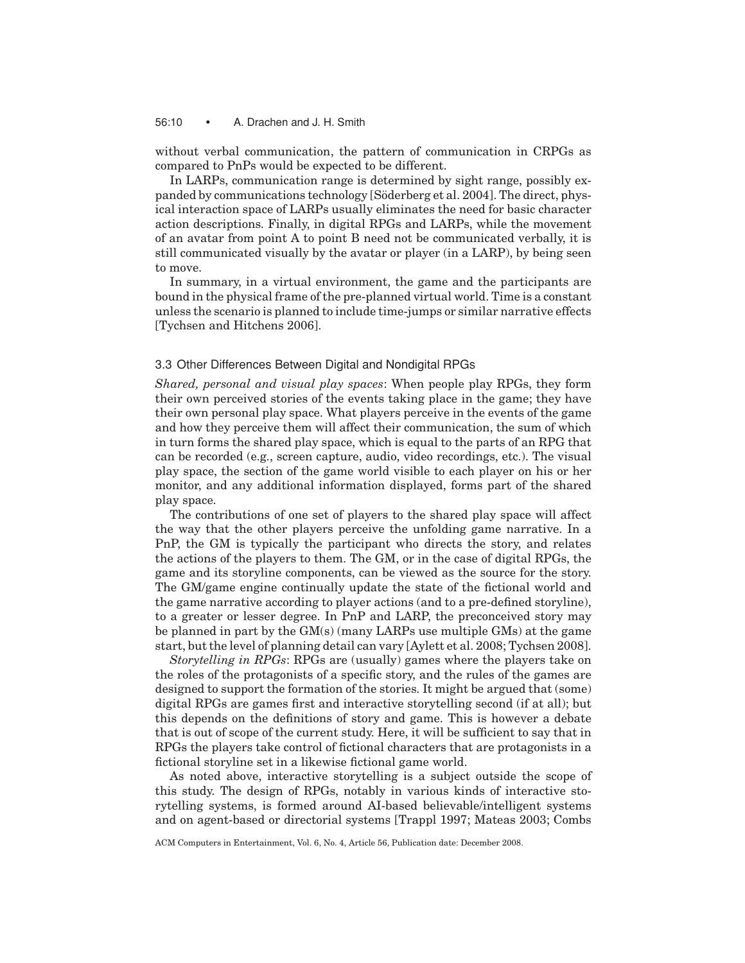#### 56:10 • A. Drachen and J. H. Smith

without verbal communication, the pattern of communication in CRPGs as compared to PnPs would be expected to be different.

In LARPs, communication range is determined by sight range, possibly expanded by communications technology [Söderberg et al. 2004]. The direct, physical interaction space of LARPs usually eliminates the need for basic character action descriptions. Finally, in digital RPGs and LARPs, while the movement of an avatar from point A to point B need not be communicated verbally, it is still communicated visually by the avatar or player (in a LARP), by being seen to move.

In summary, in a virtual environment, the game and the participants are bound in the physical frame of the pre-planned virtual world. Time is a constant unless the scenario is planned to include time-jumps or similar narrative effects [Tychsen and Hitchens 2006].

# 3.3 Other Differences Between Digital and Nondigital RPGs

*Shared, personal and visual play spaces*: When people play RPGs, they form their own perceived stories of the events taking place in the game; they have their own personal play space. What players perceive in the events of the game and how they perceive them will affect their communication, the sum of which in turn forms the shared play space, which is equal to the parts of an RPG that can be recorded (e.g., screen capture, audio, video recordings, etc.). The visual play space, the section of the game world visible to each player on his or her monitor, and any additional information displayed, forms part of the shared play space.

The contributions of one set of players to the shared play space will affect the way that the other players perceive the unfolding game narrative. In a PnP, the GM is typically the participant who directs the story, and relates the actions of the players to them. The GM, or in the case of digital RPGs, the game and its storyline components, can be viewed as the source for the story. The GM/game engine continually update the state of the fictional world and the game narrative according to player actions (and to a pre-defined storyline), to a greater or lesser degree. In PnP and LARP, the preconceived story may be planned in part by the GM(s) (many LARPs use multiple GMs) at the game start, but the level of planning detail can vary [Aylett et al. 2008; Tychsen 2008].

*Storytelling in RPGs*: RPGs are (usually) games where the players take on the roles of the protagonists of a specific story, and the rules of the games are designed to support the formation of the stories. It might be argued that (some) digital RPGs are games first and interactive storytelling second (if at all); but this depends on the definitions of story and game. This is however a debate that is out of scope of the current study. Here, it will be sufficient to say that in RPGs the players take control of fictional characters that are protagonists in a fictional storyline set in a likewise fictional game world.

As noted above, interactive storytelling is a subject outside the scope of this study. The design of RPGs, notably in various kinds of interactive storytelling systems, is formed around AI-based believable/intelligent systems and on agent-based or directorial systems [Trappl 1997; Mateas 2003; Combs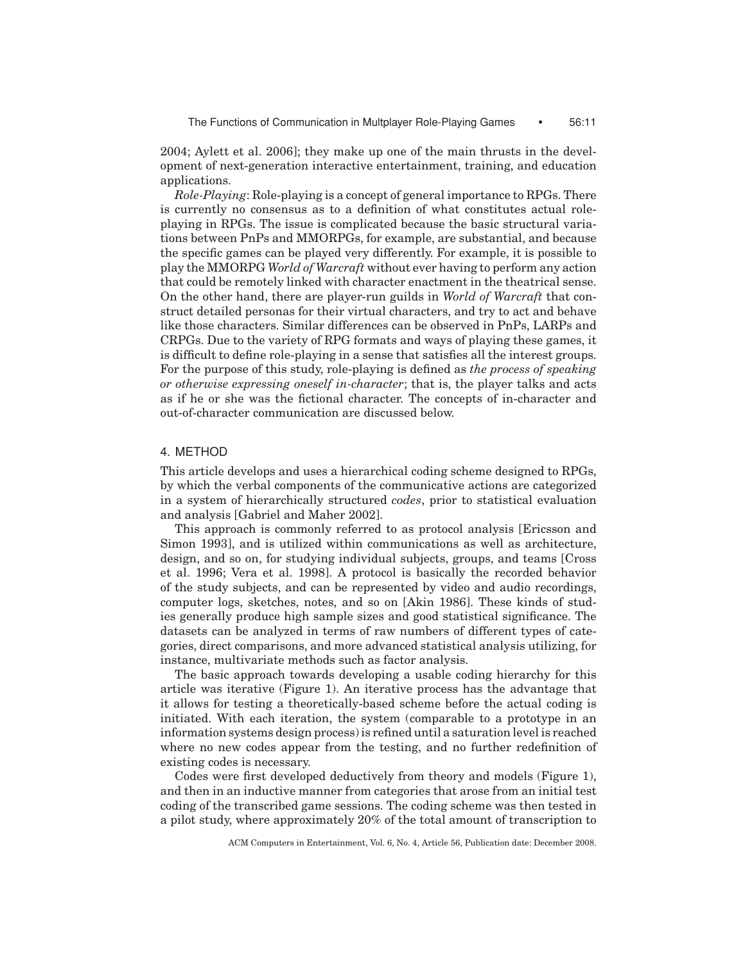2004; Aylett et al. 2006]; they make up one of the main thrusts in the development of next-generation interactive entertainment, training, and education applications.

*Role-Playing*: Role-playing is a concept of general importance to RPGs. There is currently no consensus as to a definition of what constitutes actual roleplaying in RPGs. The issue is complicated because the basic structural variations between PnPs and MMORPGs, for example, are substantial, and because the specific games can be played very differently. For example, it is possible to play the MMORPG *World of Warcraft* without ever having to perform any action that could be remotely linked with character enactment in the theatrical sense. On the other hand, there are player-run guilds in *World of Warcraft* that construct detailed personas for their virtual characters, and try to act and behave like those characters. Similar differences can be observed in PnPs, LARPs and CRPGs. Due to the variety of RPG formats and ways of playing these games, it is difficult to define role-playing in a sense that satisfies all the interest groups. For the purpose of this study, role-playing is defined as *the process of speaking or otherwise expressing oneself in-character*; that is, the player talks and acts as if he or she was the fictional character. The concepts of in-character and out-of-character communication are discussed below.

## 4. METHOD

This article develops and uses a hierarchical coding scheme designed to RPGs, by which the verbal components of the communicative actions are categorized in a system of hierarchically structured *codes*, prior to statistical evaluation and analysis [Gabriel and Maher 2002].

This approach is commonly referred to as protocol analysis [Ericsson and Simon 1993], and is utilized within communications as well as architecture, design, and so on, for studying individual subjects, groups, and teams [Cross et al. 1996; Vera et al. 1998]. A protocol is basically the recorded behavior of the study subjects, and can be represented by video and audio recordings, computer logs, sketches, notes, and so on [Akin 1986]. These kinds of studies generally produce high sample sizes and good statistical significance. The datasets can be analyzed in terms of raw numbers of different types of categories, direct comparisons, and more advanced statistical analysis utilizing, for instance, multivariate methods such as factor analysis.

The basic approach towards developing a usable coding hierarchy for this article was iterative (Figure 1). An iterative process has the advantage that it allows for testing a theoretically-based scheme before the actual coding is initiated. With each iteration, the system (comparable to a prototype in an information systems design process) is refined until a saturation level is reached where no new codes appear from the testing, and no further redefinition of existing codes is necessary.

Codes were first developed deductively from theory and models (Figure 1), and then in an inductive manner from categories that arose from an initial test coding of the transcribed game sessions. The coding scheme was then tested in a pilot study, where approximately 20% of the total amount of transcription to

ACM Computers in Entertainment, Vol. 6, No. 4, Article 56, Publication date: December 2008.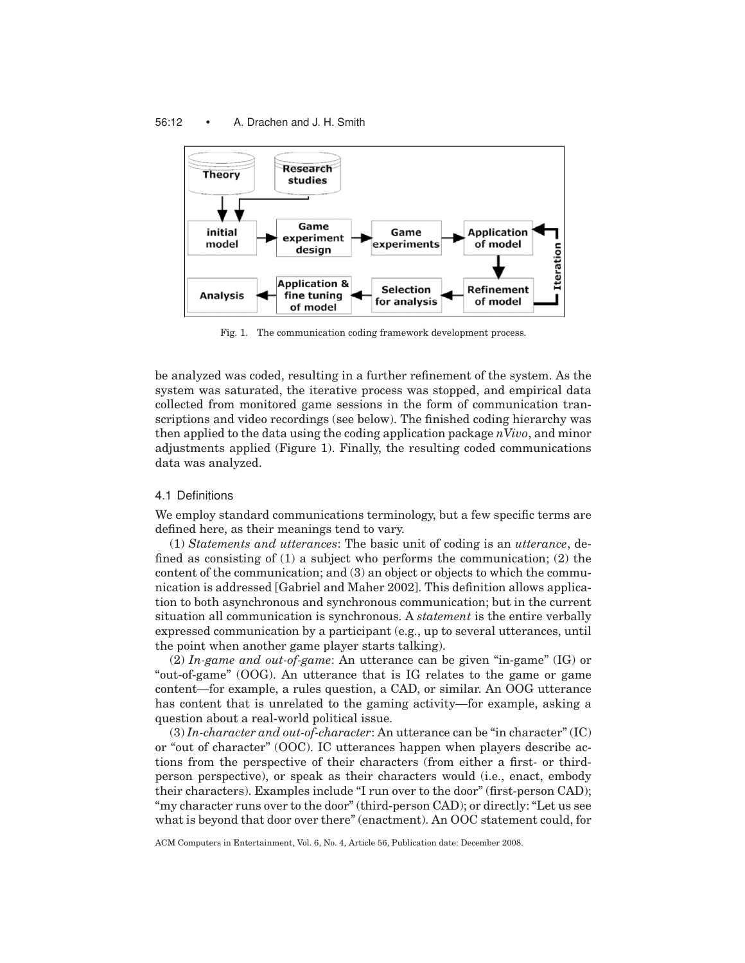

Fig. 1. The communication coding framework development process.

be analyzed was coded, resulting in a further refinement of the system. As the system was saturated, the iterative process was stopped, and empirical data collected from monitored game sessions in the form of communication transcriptions and video recordings (see below). The finished coding hierarchy was then applied to the data using the coding application package *nVivo*, and minor adjustments applied (Figure 1). Finally, the resulting coded communications data was analyzed.

## 4.1 Definitions

We employ standard communications terminology, but a few specific terms are defined here, as their meanings tend to vary.

(1) *Statements and utterances*: The basic unit of coding is an *utterance*, defined as consisting of  $(1)$  a subject who performs the communication;  $(2)$  the content of the communication; and (3) an object or objects to which the communication is addressed [Gabriel and Maher 2002]. This definition allows application to both asynchronous and synchronous communication; but in the current situation all communication is synchronous. A *statement* is the entire verbally expressed communication by a participant (e.g., up to several utterances, until the point when another game player starts talking).

(2) *In-game and out-of-game*: An utterance can be given "in-game" (IG) or "out-of-game" (OOG). An utterance that is IG relates to the game or game content—for example, a rules question, a CAD, or similar. An OOG utterance has content that is unrelated to the gaming activity—for example, asking a question about a real-world political issue.

(3) *In-character and out-of-character*: An utterance can be "in character" (IC) or "out of character" (OOC). IC utterances happen when players describe actions from the perspective of their characters (from either a first- or thirdperson perspective), or speak as their characters would (i.e., enact, embody their characters). Examples include "I run over to the door" (first-person CAD); "my character runs over to the door" (third-person CAD); or directly: "Let us see what is beyond that door over there" (enactment). An OOC statement could, for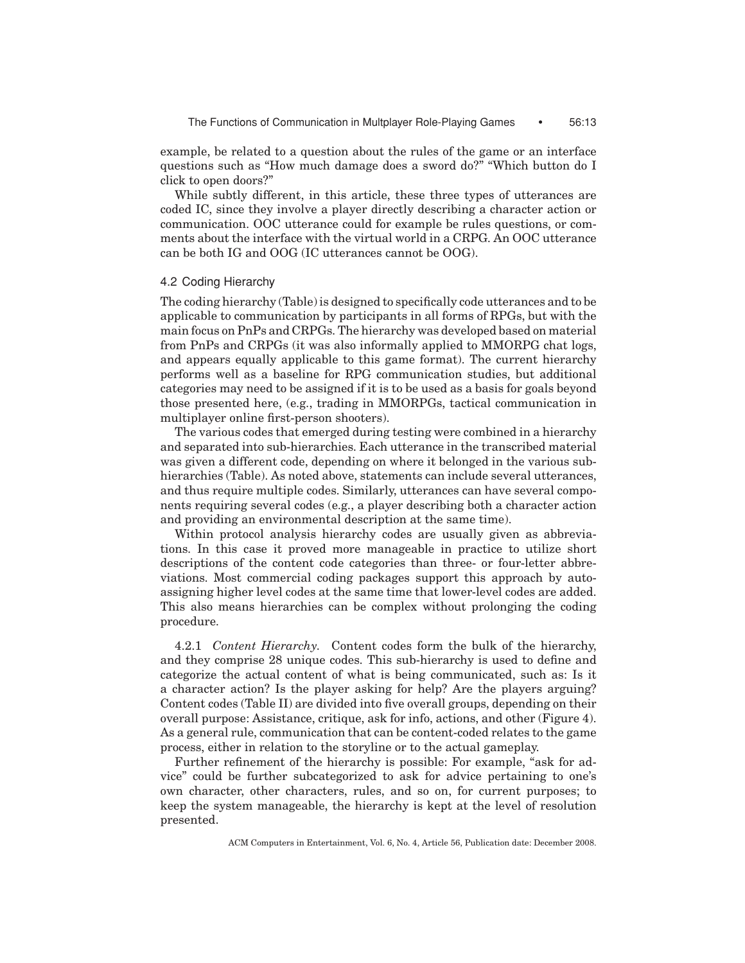example, be related to a question about the rules of the game or an interface questions such as "How much damage does a sword do?" "Which button do I click to open doors?"

While subtly different, in this article, these three types of utterances are coded IC, since they involve a player directly describing a character action or communication. OOC utterance could for example be rules questions, or comments about the interface with the virtual world in a CRPG. An OOC utterance can be both IG and OOG (IC utterances cannot be OOG).

### 4.2 Coding Hierarchy

The coding hierarchy (Table) is designed to specifically code utterances and to be applicable to communication by participants in all forms of RPGs, but with the main focus on PnPs and CRPGs. The hierarchy was developed based on material from PnPs and CRPGs (it was also informally applied to MMORPG chat logs, and appears equally applicable to this game format). The current hierarchy performs well as a baseline for RPG communication studies, but additional categories may need to be assigned if it is to be used as a basis for goals beyond those presented here, (e.g., trading in MMORPGs, tactical communication in multiplayer online first-person shooters).

The various codes that emerged during testing were combined in a hierarchy and separated into sub-hierarchies. Each utterance in the transcribed material was given a different code, depending on where it belonged in the various subhierarchies (Table). As noted above, statements can include several utterances, and thus require multiple codes. Similarly, utterances can have several components requiring several codes (e.g., a player describing both a character action and providing an environmental description at the same time).

Within protocol analysis hierarchy codes are usually given as abbreviations. In this case it proved more manageable in practice to utilize short descriptions of the content code categories than three- or four-letter abbreviations. Most commercial coding packages support this approach by autoassigning higher level codes at the same time that lower-level codes are added. This also means hierarchies can be complex without prolonging the coding procedure.

4.2.1 *Content Hierarchy.* Content codes form the bulk of the hierarchy, and they comprise 28 unique codes. This sub-hierarchy is used to define and categorize the actual content of what is being communicated, such as: Is it a character action? Is the player asking for help? Are the players arguing? Content codes (Table II) are divided into five overall groups, depending on their overall purpose: Assistance, critique, ask for info, actions, and other (Figure 4). As a general rule, communication that can be content-coded relates to the game process, either in relation to the storyline or to the actual gameplay.

Further refinement of the hierarchy is possible: For example, "ask for advice" could be further subcategorized to ask for advice pertaining to one's own character, other characters, rules, and so on, for current purposes; to keep the system manageable, the hierarchy is kept at the level of resolution presented.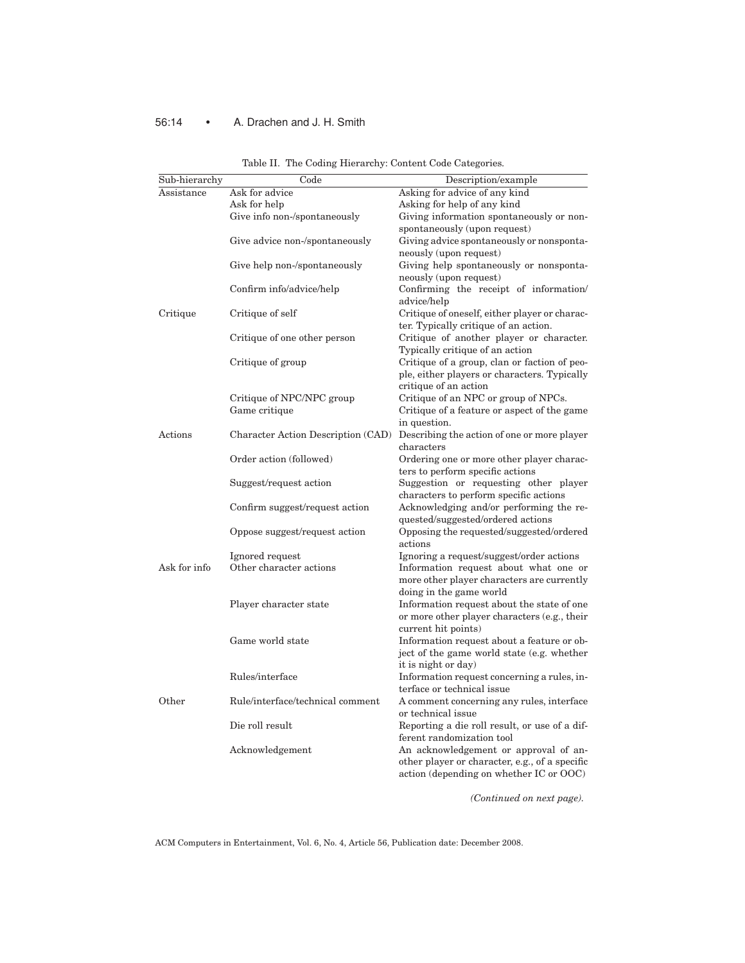# 56:14 • A. Drachen and J. H. Smith

| Sub-hierarchy | Code                               | Description/example                                                                 |  |  |  |
|---------------|------------------------------------|-------------------------------------------------------------------------------------|--|--|--|
| Assistance    | Ask for advice                     | Asking for advice of any kind                                                       |  |  |  |
|               | Ask for help                       | Asking for help of any kind                                                         |  |  |  |
|               | Give info non-/spontaneously       | Giving information spontaneously or non-                                            |  |  |  |
|               |                                    | spontaneously (upon request)                                                        |  |  |  |
|               | Give advice non-/spontaneously     | Giving advice spontaneously or nonsponta-                                           |  |  |  |
|               |                                    | neously (upon request)                                                              |  |  |  |
|               | Give help non-/spontaneously       | Giving help spontaneously or nonsponta-                                             |  |  |  |
|               | Confirm info/advice/help           | neously (upon request)                                                              |  |  |  |
|               |                                    | Confirming the receipt of information/<br>advice/help                               |  |  |  |
| Critique      | Critique of self                   | Critique of oneself, either player or charac-                                       |  |  |  |
|               |                                    | ter. Typically critique of an action.                                               |  |  |  |
|               | Critique of one other person       | Critique of another player or character.                                            |  |  |  |
|               |                                    | Typically critique of an action                                                     |  |  |  |
|               | Critique of group                  | Critique of a group, clan or faction of peo-                                        |  |  |  |
|               |                                    | ple, either players or characters. Typically                                        |  |  |  |
|               |                                    | critique of an action                                                               |  |  |  |
|               | Critique of NPC/NPC group          | Critique of an NPC or group of NPCs.                                                |  |  |  |
|               | Game critique                      | Critique of a feature or aspect of the game                                         |  |  |  |
|               |                                    | in question.                                                                        |  |  |  |
| Actions       | Character Action Description (CAD) | Describing the action of one or more player                                         |  |  |  |
|               | Order action (followed)            | characters<br>Ordering one or more other player charac-                             |  |  |  |
|               |                                    | ters to perform specific actions                                                    |  |  |  |
|               | Suggest/request action             | Suggestion or requesting other player                                               |  |  |  |
|               |                                    | characters to perform specific actions                                              |  |  |  |
|               | Confirm suggest/request action     | Acknowledging and/or performing the re-                                             |  |  |  |
|               |                                    | quested/suggested/ordered actions                                                   |  |  |  |
|               | Oppose suggest/request action      | Opposing the requested/suggested/ordered                                            |  |  |  |
|               |                                    | actions                                                                             |  |  |  |
| Ask for info  | Ignored request                    | Ignoring a request/suggest/order actions                                            |  |  |  |
|               | Other character actions            | Information request about what one or<br>more other player characters are currently |  |  |  |
|               |                                    | doing in the game world                                                             |  |  |  |
|               | Player character state             | Information request about the state of one                                          |  |  |  |
|               |                                    | or more other player characters (e.g., their                                        |  |  |  |
|               |                                    | current hit points)                                                                 |  |  |  |
|               | Game world state                   | Information request about a feature or ob-                                          |  |  |  |
|               |                                    | ject of the game world state (e.g. whether                                          |  |  |  |
|               |                                    | it is night or day)                                                                 |  |  |  |
|               | Rules/interface                    | Information request concerning a rules, in-                                         |  |  |  |
|               |                                    | terface or technical issue                                                          |  |  |  |
| Other         | Rule/interface/technical comment   | A comment concerning any rules, interface<br>or technical issue                     |  |  |  |
|               | Die roll result                    | Reporting a die roll result, or use of a dif-                                       |  |  |  |
|               |                                    | ferent randomization tool                                                           |  |  |  |
|               | Acknowledgement                    | An acknowledgement or approval of an-                                               |  |  |  |
|               |                                    | other player or character, e.g., of a specific                                      |  |  |  |
|               |                                    | action (depending on whether IC or OOC)                                             |  |  |  |

|  |  |  |  | Table II. The Coding Hierarchy: Content Code Categories. |
|--|--|--|--|----------------------------------------------------------|
|--|--|--|--|----------------------------------------------------------|

*(Continued on next page).*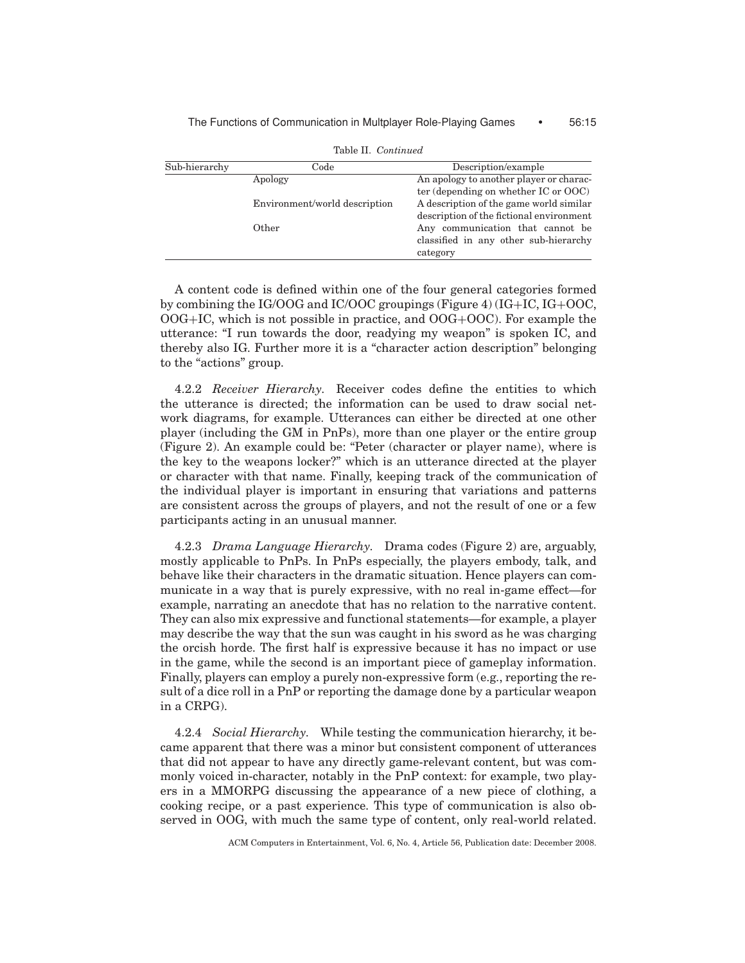| Sub-hierarchy | Code                          | Description/example                       |  |  |
|---------------|-------------------------------|-------------------------------------------|--|--|
|               | Apology                       | An apology to another player or charac-   |  |  |
|               |                               | ter (depending on whether $IC$ or $OOC$ ) |  |  |
|               | Environment/world description | A description of the game world similar   |  |  |
|               |                               | description of the fictional environment  |  |  |
|               | Other                         | Any communication that cannot be          |  |  |
|               |                               | classified in any other sub-hierarchy     |  |  |
|               |                               | category                                  |  |  |

Table II. *Continued*

A content code is defined within one of the four general categories formed by combining the IG/OOG and IC/OOC groupings (Figure 4) (IG+IC, IG+OOC, OOG+IC, which is not possible in practice, and OOG+OOC). For example the utterance: "I run towards the door, readying my weapon" is spoken IC, and thereby also IG. Further more it is a "character action description" belonging to the "actions" group.

4.2.2 *Receiver Hierarchy.* Receiver codes define the entities to which the utterance is directed; the information can be used to draw social network diagrams, for example. Utterances can either be directed at one other player (including the GM in PnPs), more than one player or the entire group (Figure 2). An example could be: "Peter (character or player name), where is the key to the weapons locker?" which is an utterance directed at the player or character with that name. Finally, keeping track of the communication of the individual player is important in ensuring that variations and patterns are consistent across the groups of players, and not the result of one or a few participants acting in an unusual manner.

4.2.3 *Drama Language Hierarchy.* Drama codes (Figure 2) are, arguably, mostly applicable to PnPs. In PnPs especially, the players embody, talk, and behave like their characters in the dramatic situation. Hence players can communicate in a way that is purely expressive, with no real in-game effect—for example, narrating an anecdote that has no relation to the narrative content. They can also mix expressive and functional statements—for example, a player may describe the way that the sun was caught in his sword as he was charging the orcish horde. The first half is expressive because it has no impact or use in the game, while the second is an important piece of gameplay information. Finally, players can employ a purely non-expressive form (e.g., reporting the result of a dice roll in a PnP or reporting the damage done by a particular weapon in a CRPG).

4.2.4 *Social Hierarchy.* While testing the communication hierarchy, it became apparent that there was a minor but consistent component of utterances that did not appear to have any directly game-relevant content, but was commonly voiced in-character, notably in the PnP context: for example, two players in a MMORPG discussing the appearance of a new piece of clothing, a cooking recipe, or a past experience. This type of communication is also observed in OOG, with much the same type of content, only real-world related.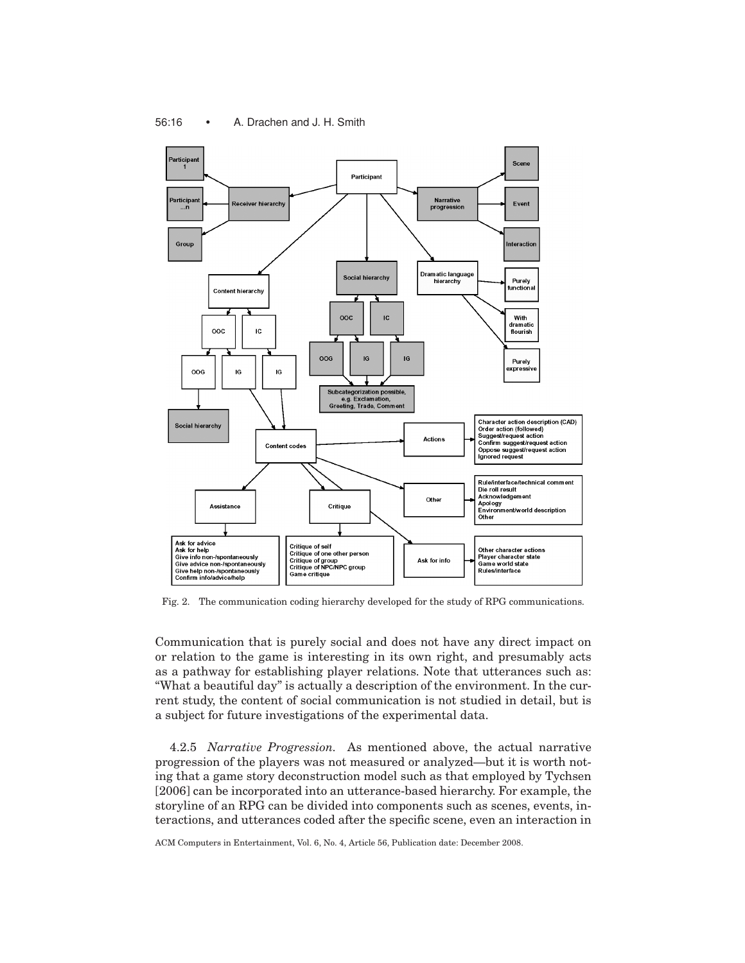

#### 56:16 • A. Drachen and J. H. Smith

Fig. 2. The communication coding hierarchy developed for the study of RPG communications.

Communication that is purely social and does not have any direct impact on or relation to the game is interesting in its own right, and presumably acts as a pathway for establishing player relations. Note that utterances such as: "What a beautiful day" is actually a description of the environment. In the current study, the content of social communication is not studied in detail, but is a subject for future investigations of the experimental data.

4.2.5 *Narrative Progression.* As mentioned above, the actual narrative progression of the players was not measured or analyzed—but it is worth noting that a game story deconstruction model such as that employed by Tychsen [2006] can be incorporated into an utterance-based hierarchy. For example, the storyline of an RPG can be divided into components such as scenes, events, interactions, and utterances coded after the specific scene, even an interaction in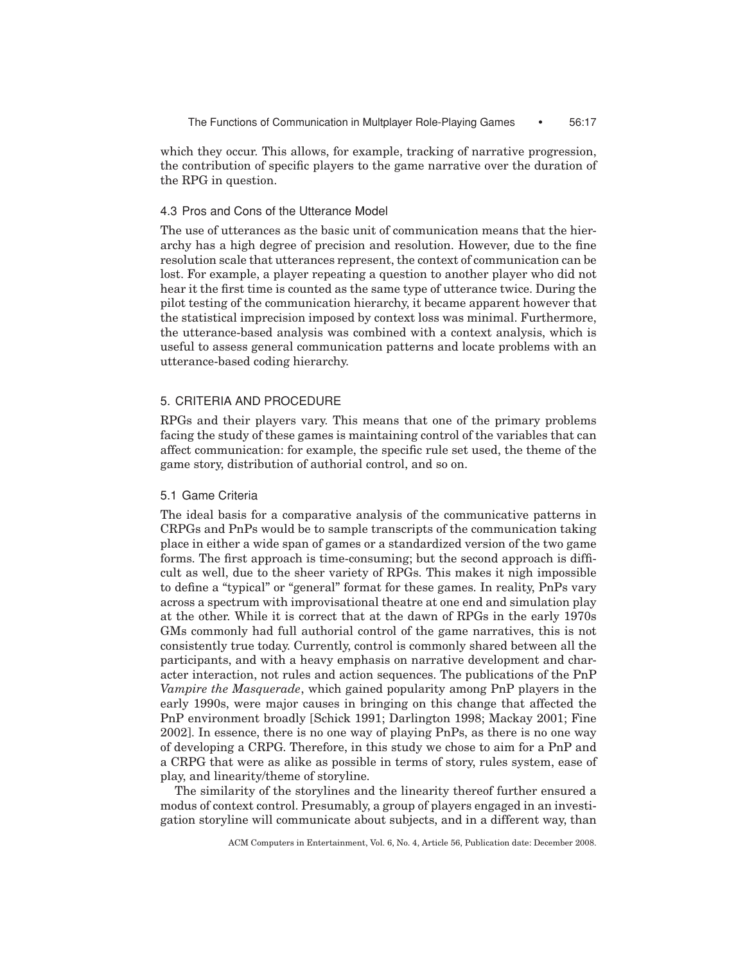which they occur. This allows, for example, tracking of narrative progression, the contribution of specific players to the game narrative over the duration of the RPG in question.

## 4.3 Pros and Cons of the Utterance Model

The use of utterances as the basic unit of communication means that the hierarchy has a high degree of precision and resolution. However, due to the fine resolution scale that utterances represent, the context of communication can be lost. For example, a player repeating a question to another player who did not hear it the first time is counted as the same type of utterance twice. During the pilot testing of the communication hierarchy, it became apparent however that the statistical imprecision imposed by context loss was minimal. Furthermore, the utterance-based analysis was combined with a context analysis, which is useful to assess general communication patterns and locate problems with an utterance-based coding hierarchy.

# 5. CRITERIA AND PROCEDURE

RPGs and their players vary. This means that one of the primary problems facing the study of these games is maintaining control of the variables that can affect communication: for example, the specific rule set used, the theme of the game story, distribution of authorial control, and so on.

# 5.1 Game Criteria

The ideal basis for a comparative analysis of the communicative patterns in CRPGs and PnPs would be to sample transcripts of the communication taking place in either a wide span of games or a standardized version of the two game forms. The first approach is time-consuming; but the second approach is difficult as well, due to the sheer variety of RPGs. This makes it nigh impossible to define a "typical" or "general" format for these games. In reality, PnPs vary across a spectrum with improvisational theatre at one end and simulation play at the other. While it is correct that at the dawn of RPGs in the early 1970s GMs commonly had full authorial control of the game narratives, this is not consistently true today. Currently, control is commonly shared between all the participants, and with a heavy emphasis on narrative development and character interaction, not rules and action sequences. The publications of the PnP *Vampire the Masquerade*, which gained popularity among PnP players in the early 1990s, were major causes in bringing on this change that affected the PnP environment broadly [Schick 1991; Darlington 1998; Mackay 2001; Fine 2002]. In essence, there is no one way of playing PnPs, as there is no one way of developing a CRPG. Therefore, in this study we chose to aim for a PnP and a CRPG that were as alike as possible in terms of story, rules system, ease of play, and linearity/theme of storyline.

The similarity of the storylines and the linearity thereof further ensured a modus of context control. Presumably, a group of players engaged in an investigation storyline will communicate about subjects, and in a different way, than

ACM Computers in Entertainment, Vol. 6, No. 4, Article 56, Publication date: December 2008.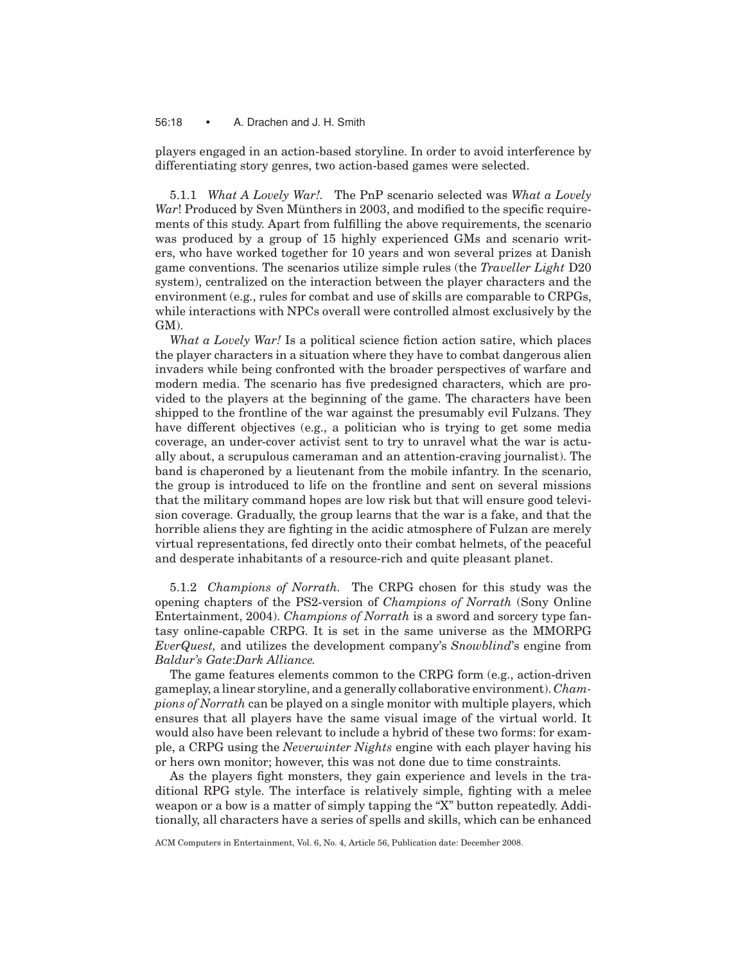#### 56:18 • A. Drachen and J. H. Smith

players engaged in an action-based storyline. In order to avoid interference by differentiating story genres, two action-based games were selected.

5.1.1 *What A Lovely War!.* The PnP scenario selected was *What a Lovely War*! Produced by Sven Münthers in 2003, and modified to the specific requirements of this study. Apart from fulfilling the above requirements, the scenario was produced by a group of 15 highly experienced GMs and scenario writers, who have worked together for 10 years and won several prizes at Danish game conventions. The scenarios utilize simple rules (the *Traveller Light* D20 system), centralized on the interaction between the player characters and the environment (e.g., rules for combat and use of skills are comparable to CRPGs, while interactions with NPCs overall were controlled almost exclusively by the GM).

*What a Lovely War!* Is a political science fiction action satire, which places the player characters in a situation where they have to combat dangerous alien invaders while being confronted with the broader perspectives of warfare and modern media. The scenario has five predesigned characters, which are provided to the players at the beginning of the game. The characters have been shipped to the frontline of the war against the presumably evil Fulzans. They have different objectives (e.g., a politician who is trying to get some media coverage, an under-cover activist sent to try to unravel what the war is actually about, a scrupulous cameraman and an attention-craving journalist). The band is chaperoned by a lieutenant from the mobile infantry. In the scenario, the group is introduced to life on the frontline and sent on several missions that the military command hopes are low risk but that will ensure good television coverage. Gradually, the group learns that the war is a fake, and that the horrible aliens they are fighting in the acidic atmosphere of Fulzan are merely virtual representations, fed directly onto their combat helmets, of the peaceful and desperate inhabitants of a resource-rich and quite pleasant planet.

5.1.2 *Champions of Norrath.* The CRPG chosen for this study was the opening chapters of the PS2-version of *Champions of Norrath* (Sony Online Entertainment, 2004). *Champions of Norrath* is a sword and sorcery type fantasy online-capable CRPG. It is set in the same universe as the MMORPG *EverQuest,* and utilizes the development company's *Snowblind*'s engine from *Baldur's Gate*:*Dark Alliance.*

The game features elements common to the CRPG form (e.g., action-driven gameplay, a linear storyline, and a generally collaborative environment). *Champions of Norrath* can be played on a single monitor with multiple players, which ensures that all players have the same visual image of the virtual world. It would also have been relevant to include a hybrid of these two forms: for example, a CRPG using the *Neverwinter Nights* engine with each player having his or hers own monitor; however, this was not done due to time constraints.

As the players fight monsters, they gain experience and levels in the traditional RPG style. The interface is relatively simple, fighting with a melee weapon or a bow is a matter of simply tapping the "X" button repeatedly. Additionally, all characters have a series of spells and skills, which can be enhanced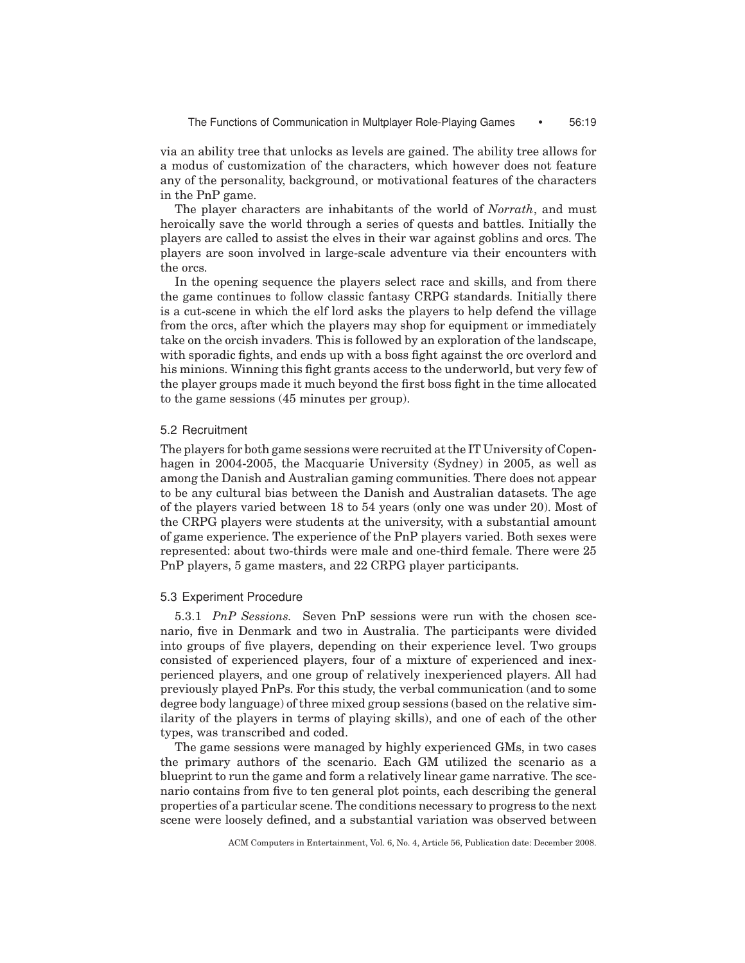via an ability tree that unlocks as levels are gained. The ability tree allows for a modus of customization of the characters, which however does not feature any of the personality, background, or motivational features of the characters in the PnP game.

The player characters are inhabitants of the world of *Norrath*, and must heroically save the world through a series of quests and battles. Initially the players are called to assist the elves in their war against goblins and orcs. The players are soon involved in large-scale adventure via their encounters with the orcs.

In the opening sequence the players select race and skills, and from there the game continues to follow classic fantasy CRPG standards. Initially there is a cut-scene in which the elf lord asks the players to help defend the village from the orcs, after which the players may shop for equipment or immediately take on the orcish invaders. This is followed by an exploration of the landscape, with sporadic fights, and ends up with a boss fight against the orc overlord and his minions. Winning this fight grants access to the underworld, but very few of the player groups made it much beyond the first boss fight in the time allocated to the game sessions (45 minutes per group).

#### 5.2 Recruitment

The players for both game sessions were recruited at the IT University of Copenhagen in 2004-2005, the Macquarie University (Sydney) in 2005, as well as among the Danish and Australian gaming communities. There does not appear to be any cultural bias between the Danish and Australian datasets. The age of the players varied between 18 to 54 years (only one was under 20). Most of the CRPG players were students at the university, with a substantial amount of game experience. The experience of the PnP players varied. Both sexes were represented: about two-thirds were male and one-third female. There were 25 PnP players, 5 game masters, and 22 CRPG player participants.

#### 5.3 Experiment Procedure

5.3.1 *PnP Sessions.* Seven PnP sessions were run with the chosen scenario, five in Denmark and two in Australia. The participants were divided into groups of five players, depending on their experience level. Two groups consisted of experienced players, four of a mixture of experienced and inexperienced players, and one group of relatively inexperienced players. All had previously played PnPs. For this study, the verbal communication (and to some degree body language) of three mixed group sessions (based on the relative similarity of the players in terms of playing skills), and one of each of the other types, was transcribed and coded.

The game sessions were managed by highly experienced GMs, in two cases the primary authors of the scenario. Each GM utilized the scenario as a blueprint to run the game and form a relatively linear game narrative. The scenario contains from five to ten general plot points, each describing the general properties of a particular scene. The conditions necessary to progress to the next scene were loosely defined, and a substantial variation was observed between

ACM Computers in Entertainment, Vol. 6, No. 4, Article 56, Publication date: December 2008.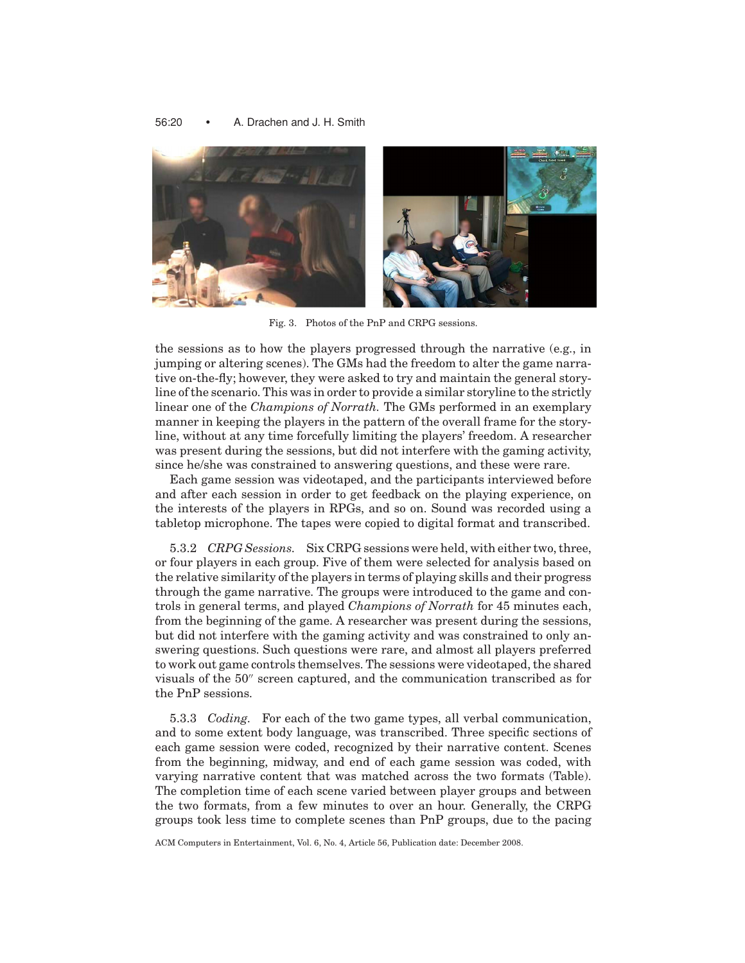#### 56:20 • A. Drachen and J. H. Smith



Fig. 3. Photos of the PnP and CRPG sessions.

the sessions as to how the players progressed through the narrative (e.g., in jumping or altering scenes). The GMs had the freedom to alter the game narrative on-the-fly; however, they were asked to try and maintain the general storyline of the scenario. This was in order to provide a similar storyline to the strictly linear one of the *Champions of Norrath.* The GMs performed in an exemplary manner in keeping the players in the pattern of the overall frame for the storyline, without at any time forcefully limiting the players' freedom. A researcher was present during the sessions, but did not interfere with the gaming activity, since he/she was constrained to answering questions, and these were rare.

Each game session was videotaped, and the participants interviewed before and after each session in order to get feedback on the playing experience, on the interests of the players in RPGs, and so on. Sound was recorded using a tabletop microphone. The tapes were copied to digital format and transcribed.

5.3.2 *CRPG Sessions.* Six CRPG sessions were held, with either two, three, or four players in each group. Five of them were selected for analysis based on the relative similarity of the players in terms of playing skills and their progress through the game narrative. The groups were introduced to the game and controls in general terms, and played *Champions of Norrath* for 45 minutes each, from the beginning of the game. A researcher was present during the sessions, but did not interfere with the gaming activity and was constrained to only answering questions. Such questions were rare, and almost all players preferred to work out game controls themselves. The sessions were videotaped, the shared visuals of the 50" screen captured, and the communication transcribed as for the PnP sessions.

5.3.3 *Coding.* For each of the two game types, all verbal communication, and to some extent body language, was transcribed. Three specific sections of each game session were coded, recognized by their narrative content. Scenes from the beginning, midway, and end of each game session was coded, with varying narrative content that was matched across the two formats (Table). The completion time of each scene varied between player groups and between the two formats, from a few minutes to over an hour. Generally, the CRPG groups took less time to complete scenes than PnP groups, due to the pacing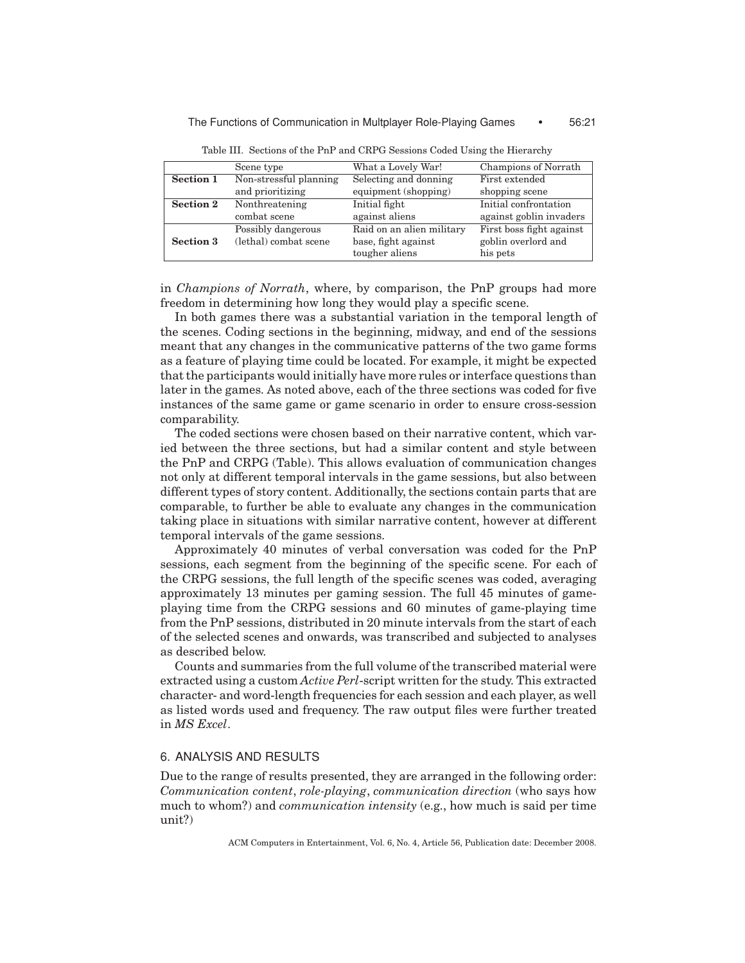|                  | Scene type             | What a Lovely War!        | Champions of Norrath     |  |
|------------------|------------------------|---------------------------|--------------------------|--|
| <b>Section 1</b> | Non-stressful planning | Selecting and donning     | First extended           |  |
|                  | and prioritizing       | equipment (shopping)      | shopping scene           |  |
| <b>Section 2</b> | Nonthreatening         | Initial fight             | Initial confrontation    |  |
|                  | combat scene           | against aliens            | against goblin invaders  |  |
|                  | Possibly dangerous     | Raid on an alien military | First boss fight against |  |
| <b>Section 3</b> | (lethal) combat scene  | base, fight against       | goblin overlord and      |  |
|                  |                        | tougher aliens            | his pets                 |  |

Table III. Sections of the PnP and CRPG Sessions Coded Using the Hierarchy

in *Champions of Norrath*, where, by comparison, the PnP groups had more freedom in determining how long they would play a specific scene.

In both games there was a substantial variation in the temporal length of the scenes. Coding sections in the beginning, midway, and end of the sessions meant that any changes in the communicative patterns of the two game forms as a feature of playing time could be located. For example, it might be expected that the participants would initially have more rules or interface questions than later in the games. As noted above, each of the three sections was coded for five instances of the same game or game scenario in order to ensure cross-session comparability.

The coded sections were chosen based on their narrative content, which varied between the three sections, but had a similar content and style between the PnP and CRPG (Table). This allows evaluation of communication changes not only at different temporal intervals in the game sessions, but also between different types of story content. Additionally, the sections contain parts that are comparable, to further be able to evaluate any changes in the communication taking place in situations with similar narrative content, however at different temporal intervals of the game sessions.

Approximately 40 minutes of verbal conversation was coded for the PnP sessions, each segment from the beginning of the specific scene. For each of the CRPG sessions, the full length of the specific scenes was coded, averaging approximately 13 minutes per gaming session. The full 45 minutes of gameplaying time from the CRPG sessions and 60 minutes of game-playing time from the PnP sessions, distributed in 20 minute intervals from the start of each of the selected scenes and onwards, was transcribed and subjected to analyses as described below.

Counts and summaries from the full volume of the transcribed material were extracted using a custom *Active Perl*-script written for the study. This extracted character- and word-length frequencies for each session and each player, as well as listed words used and frequency. The raw output files were further treated in *MS Excel*.

## 6. ANALYSIS AND RESULTS

Due to the range of results presented, they are arranged in the following order: *Communication content*, *role-playing*, *communication direction* (who says how much to whom?) and *communication intensity* (e.g., how much is said per time unit?)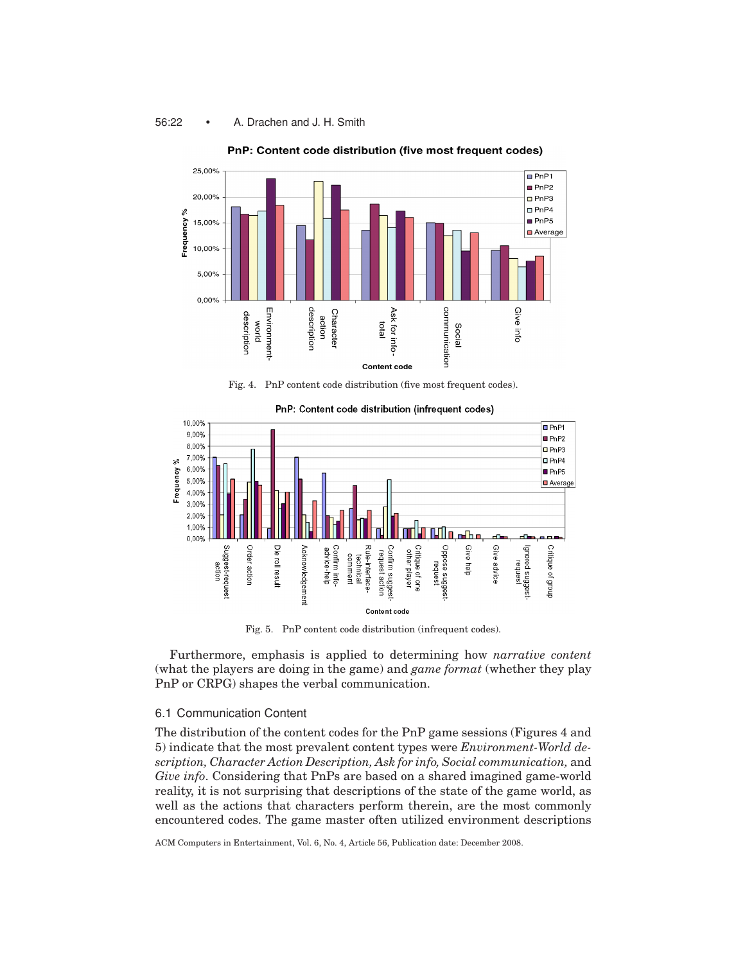## 56:22 • A. Drachen and J. H. Smith



## PnP: Content code distribution (five most frequent codes)





PnP: Content code distribution (infrequent codes)

Fig. 5. PnP content code distribution (infrequent codes).

Furthermore, emphasis is applied to determining how *narrative content* (what the players are doing in the game) and *game format* (whether they play PnP or CRPG) shapes the verbal communication.

#### 6.1 Communication Content

The distribution of the content codes for the PnP game sessions (Figures 4 and 5) indicate that the most prevalent content types were *Environment-World description, Character Action Description, Ask for info, Social communication,* and *Give info*. Considering that PnPs are based on a shared imagined game-world reality, it is not surprising that descriptions of the state of the game world, as well as the actions that characters perform therein, are the most commonly encountered codes. The game master often utilized environment descriptions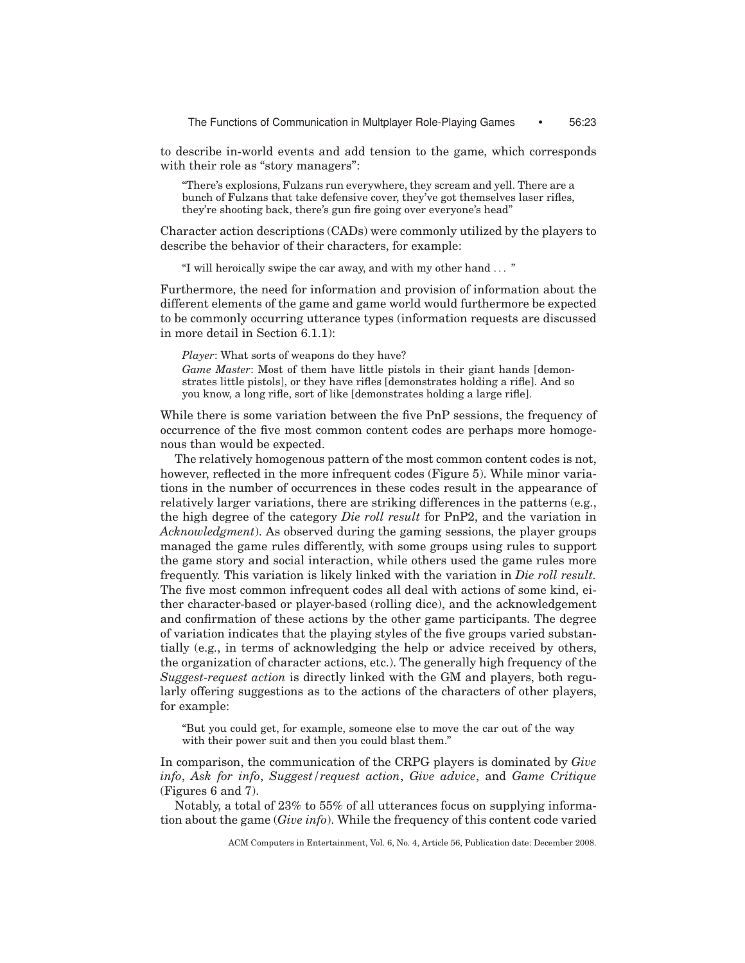to describe in-world events and add tension to the game, which corresponds with their role as "story managers":

"There's explosions, Fulzans run everywhere, they scream and yell. There are a bunch of Fulzans that take defensive cover, they've got themselves laser rifles, they're shooting back, there's gun fire going over everyone's head"

Character action descriptions (CADs) were commonly utilized by the players to describe the behavior of their characters, for example:

"I will heroically swipe the car away, and with my other hand ... "

Furthermore, the need for information and provision of information about the different elements of the game and game world would furthermore be expected to be commonly occurring utterance types (information requests are discussed in more detail in Section 6.1.1):

*Player*: What sorts of weapons do they have? *Game Master*: Most of them have little pistols in their giant hands [demonstrates little pistols], or they have rifles [demonstrates holding a rifle]. And so you know, a long rifle, sort of like [demonstrates holding a large rifle].

While there is some variation between the five PnP sessions, the frequency of occurrence of the five most common content codes are perhaps more homogenous than would be expected.

The relatively homogenous pattern of the most common content codes is not, however, reflected in the more infrequent codes (Figure 5). While minor variations in the number of occurrences in these codes result in the appearance of relatively larger variations, there are striking differences in the patterns (e.g., the high degree of the category *Die roll result* for PnP2, and the variation in *Acknowledgment*). As observed during the gaming sessions, the player groups managed the game rules differently, with some groups using rules to support the game story and social interaction, while others used the game rules more frequently. This variation is likely linked with the variation in *Die roll result.* The five most common infrequent codes all deal with actions of some kind, either character-based or player-based (rolling dice), and the acknowledgement and confirmation of these actions by the other game participants. The degree of variation indicates that the playing styles of the five groups varied substantially (e.g., in terms of acknowledging the help or advice received by others, the organization of character actions, etc.). The generally high frequency of the *Suggest-request action* is directly linked with the GM and players, both regularly offering suggestions as to the actions of the characters of other players, for example:

"But you could get, for example, someone else to move the car out of the way with their power suit and then you could blast them."

In comparison, the communication of the CRPG players is dominated by *Give info*, *Ask for info*, *Suggest/request action*, *Give advice*, and *Game Critique* (Figures 6 and 7).

Notably, a total of 23% to 55% of all utterances focus on supplying information about the game (*Give info*). While the frequency of this content code varied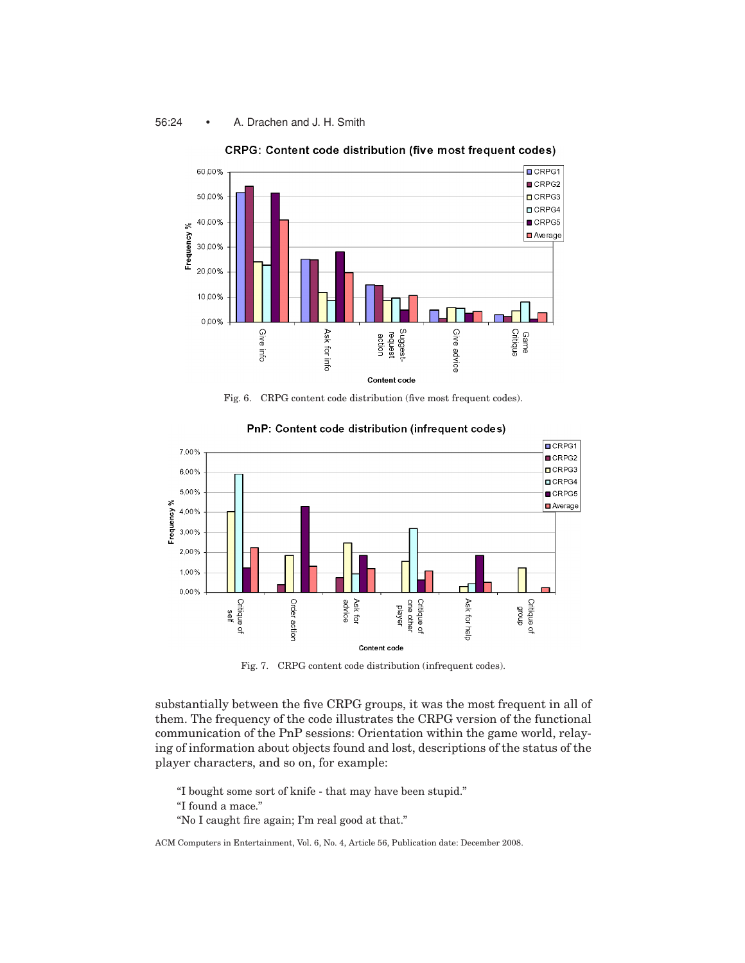## 56:24 • A. Drachen and J. H. Smith



#### **CRPG: Content code distribution (five most frequent codes)**

Fig. 6. CRPG content code distribution (five most frequent codes).



PnP: Content code distribution (infrequent codes)

Fig. 7. CRPG content code distribution (infrequent codes).

substantially between the five CRPG groups, it was the most frequent in all of them. The frequency of the code illustrates the CRPG version of the functional communication of the PnP sessions: Orientation within the game world, relaying of information about objects found and lost, descriptions of the status of the player characters, and so on, for example:

"I bought some sort of knife - that may have been stupid."

- "I found a mace."
- "No I caught fire again; I'm real good at that."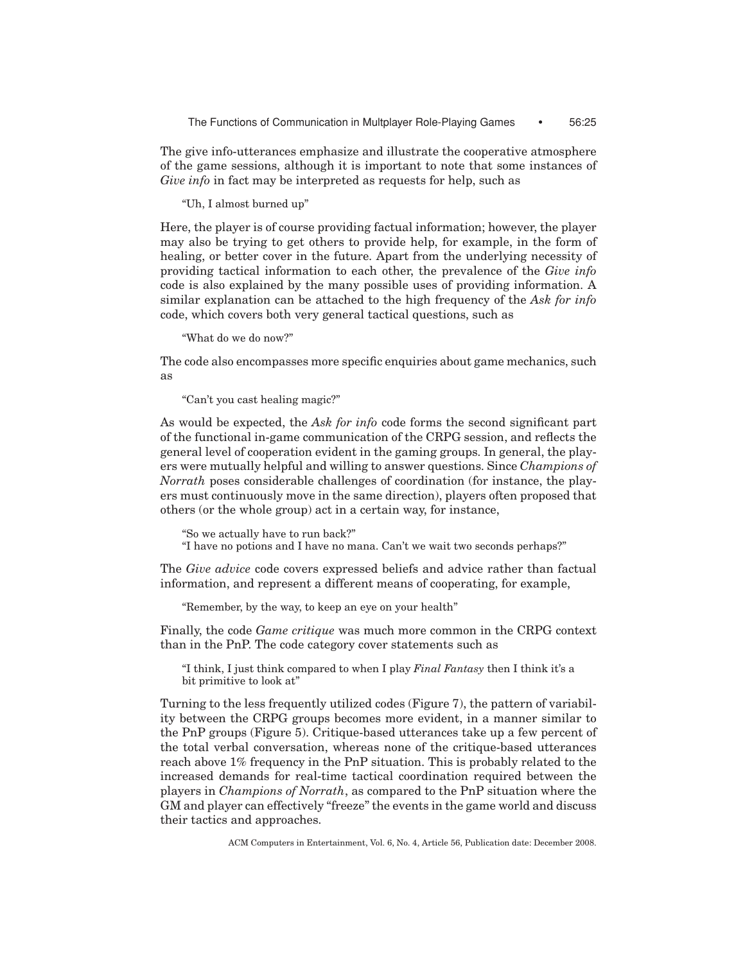The give info-utterances emphasize and illustrate the cooperative atmosphere of the game sessions, although it is important to note that some instances of *Give info* in fact may be interpreted as requests for help, such as

"Uh, I almost burned up"

Here, the player is of course providing factual information; however, the player may also be trying to get others to provide help, for example, in the form of healing, or better cover in the future. Apart from the underlying necessity of providing tactical information to each other, the prevalence of the *Give info* code is also explained by the many possible uses of providing information. A similar explanation can be attached to the high frequency of the *Ask for info* code, which covers both very general tactical questions, such as

"What do we do now?"

The code also encompasses more specific enquiries about game mechanics, such as

"Can't you cast healing magic?"

As would be expected, the *Ask for info* code forms the second significant part of the functional in-game communication of the CRPG session, and reflects the general level of cooperation evident in the gaming groups. In general, the players were mutually helpful and willing to answer questions. Since *Champions of Norrath* poses considerable challenges of coordination (for instance, the players must continuously move in the same direction), players often proposed that others (or the whole group) act in a certain way, for instance,

"So we actually have to run back?"

"I have no potions and I have no mana. Can't we wait two seconds perhaps?"

The *Give advice* code covers expressed beliefs and advice rather than factual information, and represent a different means of cooperating, for example,

"Remember, by the way, to keep an eye on your health"

Finally, the code *Game critique* was much more common in the CRPG context than in the PnP. The code category cover statements such as

"I think, I just think compared to when I play *Final Fantasy* then I think it's a bit primitive to look at"

Turning to the less frequently utilized codes (Figure 7), the pattern of variability between the CRPG groups becomes more evident, in a manner similar to the PnP groups (Figure 5). Critique-based utterances take up a few percent of the total verbal conversation, whereas none of the critique-based utterances reach above 1% frequency in the PnP situation. This is probably related to the increased demands for real-time tactical coordination required between the players in *Champions of Norrath*, as compared to the PnP situation where the GM and player can effectively "freeze" the events in the game world and discuss their tactics and approaches.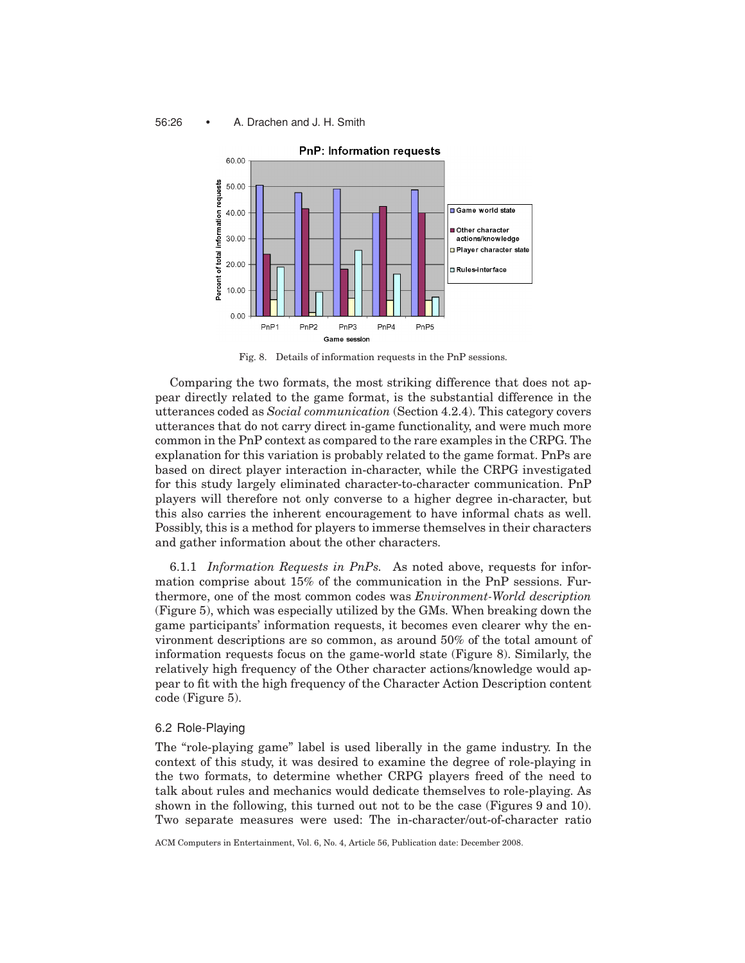#### 56:26 • A. Drachen and J. H. Smith



Fig. 8. Details of information requests in the PnP sessions.

Comparing the two formats, the most striking difference that does not appear directly related to the game format, is the substantial difference in the utterances coded as *Social communication* (Section 4.2.4). This category covers utterances that do not carry direct in-game functionality, and were much more common in the PnP context as compared to the rare examples in the CRPG. The explanation for this variation is probably related to the game format. PnPs are based on direct player interaction in-character, while the CRPG investigated for this study largely eliminated character-to-character communication. PnP players will therefore not only converse to a higher degree in-character, but this also carries the inherent encouragement to have informal chats as well. Possibly, this is a method for players to immerse themselves in their characters and gather information about the other characters.

6.1.1 *Information Requests in PnPs.* As noted above, requests for information comprise about 15% of the communication in the PnP sessions. Furthermore, one of the most common codes was *Environment-World description* (Figure 5), which was especially utilized by the GMs. When breaking down the game participants' information requests, it becomes even clearer why the environment descriptions are so common, as around 50% of the total amount of information requests focus on the game-world state (Figure 8). Similarly, the relatively high frequency of the Other character actions/knowledge would appear to fit with the high frequency of the Character Action Description content code (Figure 5).

## 6.2 Role-Playing

The "role-playing game" label is used liberally in the game industry. In the context of this study, it was desired to examine the degree of role-playing in the two formats, to determine whether CRPG players freed of the need to talk about rules and mechanics would dedicate themselves to role-playing. As shown in the following, this turned out not to be the case (Figures 9 and 10). Two separate measures were used: The in-character/out-of-character ratio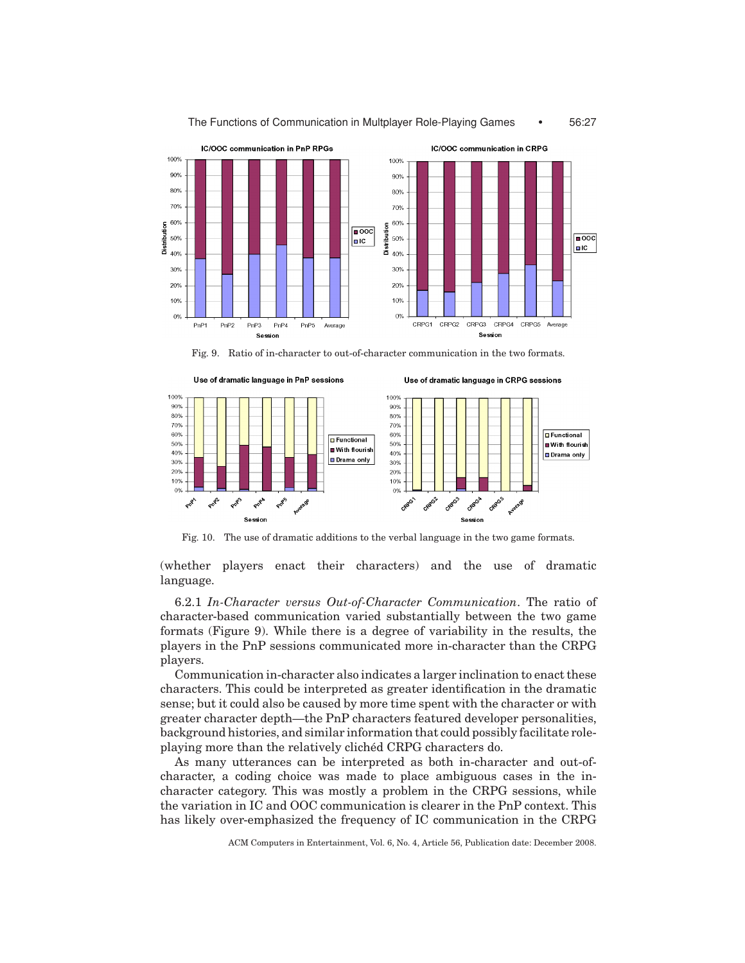

The Functions of Communication in Multplayer Role-Playing Games • 56:27

Fig. 9. Ratio of in-character to out-of-character communication in the two formats.



Fig. 10. The use of dramatic additions to the verbal language in the two game formats.

(whether players enact their characters) and the use of dramatic language.

6.2.1 *In-Character versus Out-of-Character Communication*. The ratio of character-based communication varied substantially between the two game formats (Figure 9). While there is a degree of variability in the results, the players in the PnP sessions communicated more in-character than the CRPG players.

Communication in-character also indicates a larger inclination to enact these characters. This could be interpreted as greater identification in the dramatic sense; but it could also be caused by more time spent with the character or with greater character depth—the PnP characters featured developer personalities, background histories, and similar information that could possibly facilitate roleplaying more than the relatively cliched CRPG characters do.

As many utterances can be interpreted as both in-character and out-ofcharacter, a coding choice was made to place ambiguous cases in the incharacter category. This was mostly a problem in the CRPG sessions, while the variation in IC and OOC communication is clearer in the PnP context. This has likely over-emphasized the frequency of IC communication in the CRPG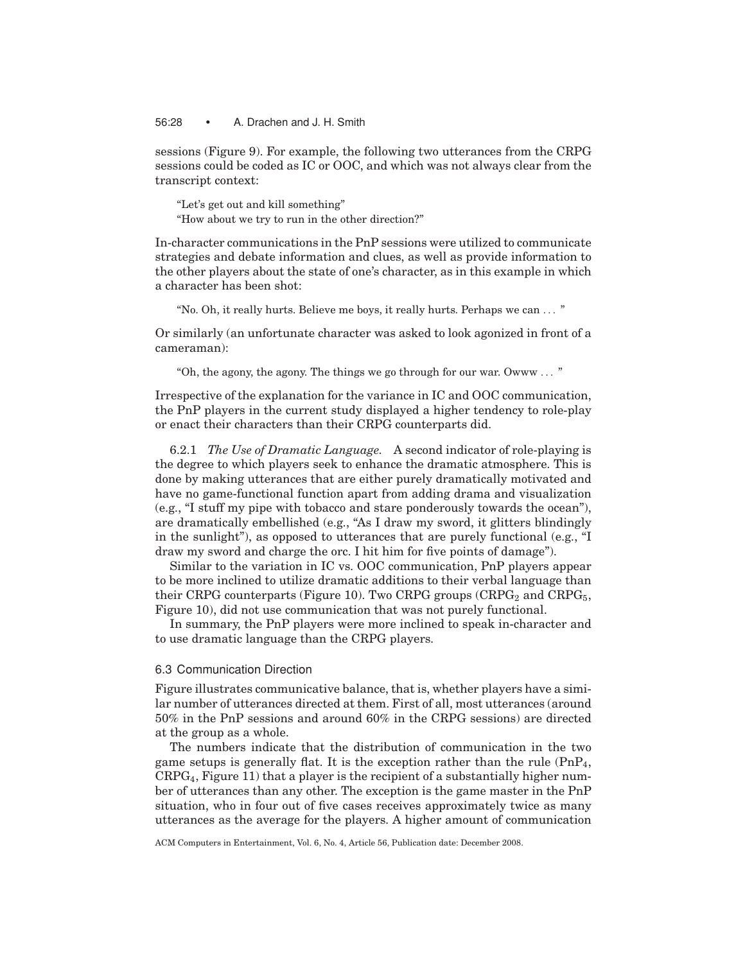#### 56:28 • A. Drachen and J. H. Smith

sessions (Figure 9). For example, the following two utterances from the CRPG sessions could be coded as IC or OOC, and which was not always clear from the transcript context:

"Let's get out and kill something"

"How about we try to run in the other direction?"

In-character communications in the PnP sessions were utilized to communicate strategies and debate information and clues, as well as provide information to the other players about the state of one's character, as in this example in which a character has been shot:

"No. Oh, it really hurts. Believe me boys, it really hurts. Perhaps we can ... "

Or similarly (an unfortunate character was asked to look agonized in front of a cameraman):

"Oh, the agony, the agony. The things we go through for our war. Owww ... "

Irrespective of the explanation for the variance in IC and OOC communication, the PnP players in the current study displayed a higher tendency to role-play or enact their characters than their CRPG counterparts did.

6.2.1 *The Use of Dramatic Language.* A second indicator of role-playing is the degree to which players seek to enhance the dramatic atmosphere. This is done by making utterances that are either purely dramatically motivated and have no game-functional function apart from adding drama and visualization (e.g., "I stuff my pipe with tobacco and stare ponderously towards the ocean"), are dramatically embellished (e.g., "As I draw my sword, it glitters blindingly in the sunlight"), as opposed to utterances that are purely functional (e.g., "I draw my sword and charge the orc. I hit him for five points of damage").

Similar to the variation in IC vs. OOC communication, PnP players appear to be more inclined to utilize dramatic additions to their verbal language than their CRPG counterparts (Figure 10). Two CRPG groups (CRPG $_2$  and CRPG $_5$ , Figure 10), did not use communication that was not purely functional.

In summary, the PnP players were more inclined to speak in-character and to use dramatic language than the CRPG players.

## 6.3 Communication Direction

Figure illustrates communicative balance, that is, whether players have a similar number of utterances directed at them. First of all, most utterances (around 50% in the PnP sessions and around 60% in the CRPG sessions) are directed at the group as a whole.

The numbers indicate that the distribution of communication in the two game setups is generally flat. It is the exception rather than the rule  $(\text{PnP}_4)$ ,  $CRPG<sub>4</sub>$ , Figure 11) that a player is the recipient of a substantially higher number of utterances than any other. The exception is the game master in the PnP situation, who in four out of five cases receives approximately twice as many utterances as the average for the players. A higher amount of communication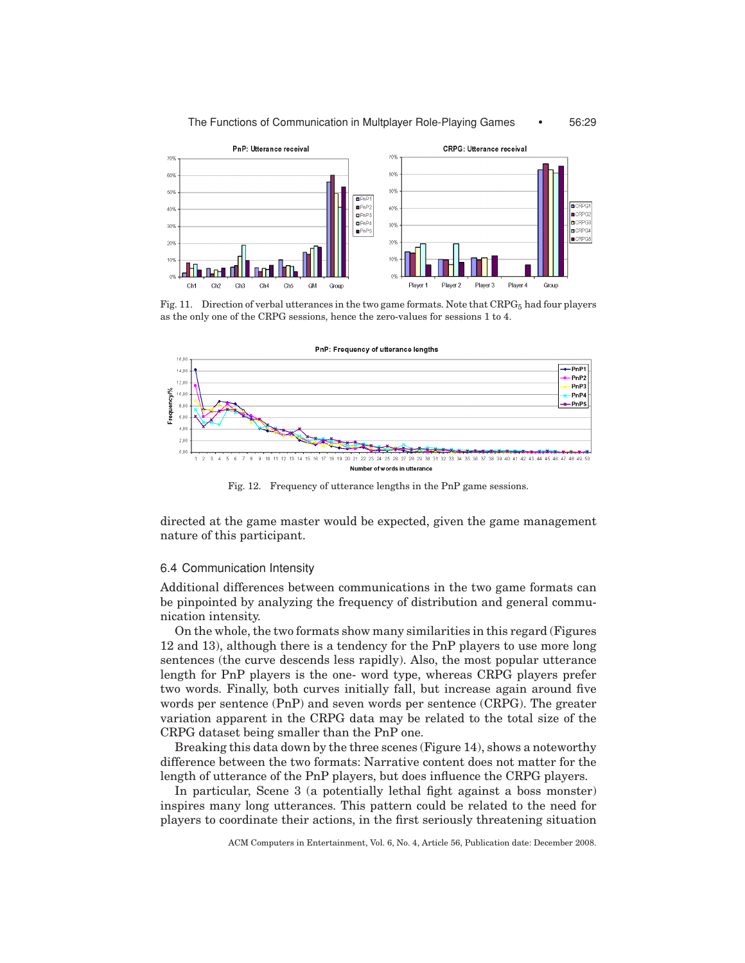



Fig. 11. Direction of verbal utterances in the two game formats. Note that  $CRPG<sub>5</sub>$  had four players as the only one of the CRPG sessions, hence the zero-values for sessions 1 to 4.



Fig. 12. Frequency of utterance lengths in the PnP game sessions.

directed at the game master would be expected, given the game management nature of this participant.

#### 6.4 Communication Intensity

Additional differences between communications in the two game formats can be pinpointed by analyzing the frequency of distribution and general communication intensity.

On the whole, the two formats show many similarities in this regard (Figures 12 and 13), although there is a tendency for the PnP players to use more long sentences (the curve descends less rapidly). Also, the most popular utterance length for PnP players is the one- word type, whereas CRPG players prefer two words. Finally, both curves initially fall, but increase again around five words per sentence (PnP) and seven words per sentence (CRPG). The greater variation apparent in the CRPG data may be related to the total size of the CRPG dataset being smaller than the PnP one.

Breaking this data down by the three scenes (Figure 14), shows a noteworthy difference between the two formats: Narrative content does not matter for the length of utterance of the PnP players, but does influence the CRPG players.

In particular, Scene 3 (a potentially lethal fight against a boss monster) inspires many long utterances. This pattern could be related to the need for players to coordinate their actions, in the first seriously threatening situation

ACM Computers in Entertainment, Vol. 6, No. 4, Article 56, Publication date: December 2008.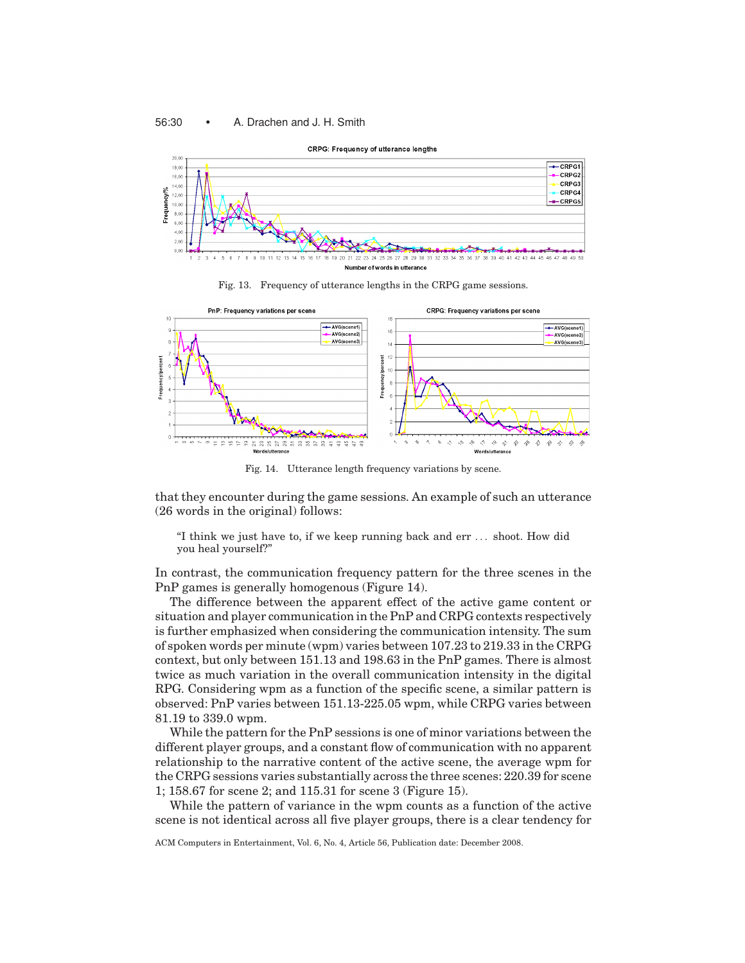#### 56:30 • A. Drachen and J. H. Smith







Fig. 14. Utterance length frequency variations by scene.

that they encounter during the game sessions. An example of such an utterance (26 words in the original) follows:

"I think we just have to, if we keep running back and err ... shoot. How did you heal yourself?"

In contrast, the communication frequency pattern for the three scenes in the PnP games is generally homogenous (Figure 14).

The difference between the apparent effect of the active game content or situation and player communication in the PnP and CRPG contexts respectively is further emphasized when considering the communication intensity. The sum of spoken words per minute (wpm) varies between 107.23 to 219.33 in the CRPG context, but only between 151.13 and 198.63 in the PnP games. There is almost twice as much variation in the overall communication intensity in the digital RPG. Considering wpm as a function of the specific scene, a similar pattern is observed: PnP varies between 151.13-225.05 wpm, while CRPG varies between 81.19 to 339.0 wpm.

While the pattern for the PnP sessions is one of minor variations between the different player groups, and a constant flow of communication with no apparent relationship to the narrative content of the active scene, the average wpm for the CRPG sessions varies substantially across the three scenes: 220.39 for scene 1; 158.67 for scene 2; and 115.31 for scene 3 (Figure 15).

While the pattern of variance in the wpm counts as a function of the active scene is not identical across all five player groups, there is a clear tendency for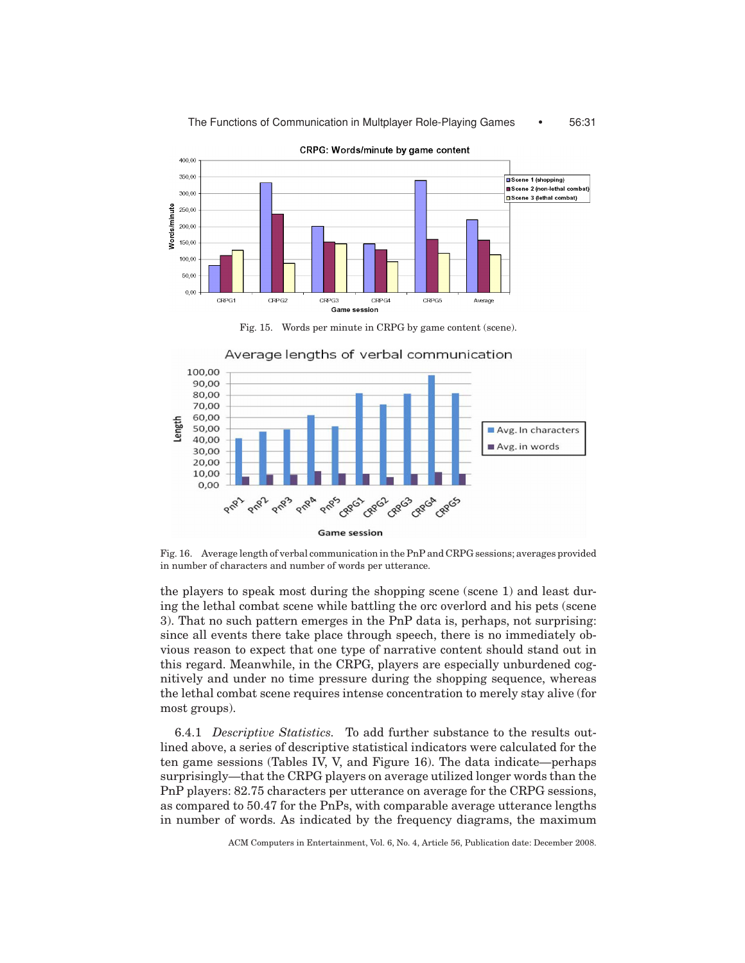

Fig. 15. Words per minute in CRPG by game content (scene).



Fig. 16. Average length of verbal communication in the PnP and CRPG sessions; averages provided in number of characters and number of words per utterance.

the players to speak most during the shopping scene (scene 1) and least during the lethal combat scene while battling the orc overlord and his pets (scene 3). That no such pattern emerges in the PnP data is, perhaps, not surprising: since all events there take place through speech, there is no immediately obvious reason to expect that one type of narrative content should stand out in this regard. Meanwhile, in the CRPG, players are especially unburdened cognitively and under no time pressure during the shopping sequence, whereas the lethal combat scene requires intense concentration to merely stay alive (for most groups).

6.4.1 *Descriptive Statistics.* To add further substance to the results outlined above, a series of descriptive statistical indicators were calculated for the ten game sessions (Tables IV, V, and Figure 16). The data indicate—perhaps surprisingly—that the CRPG players on average utilized longer words than the PnP players: 82.75 characters per utterance on average for the CRPG sessions, as compared to 50.47 for the PnPs, with comparable average utterance lengths in number of words. As indicated by the frequency diagrams, the maximum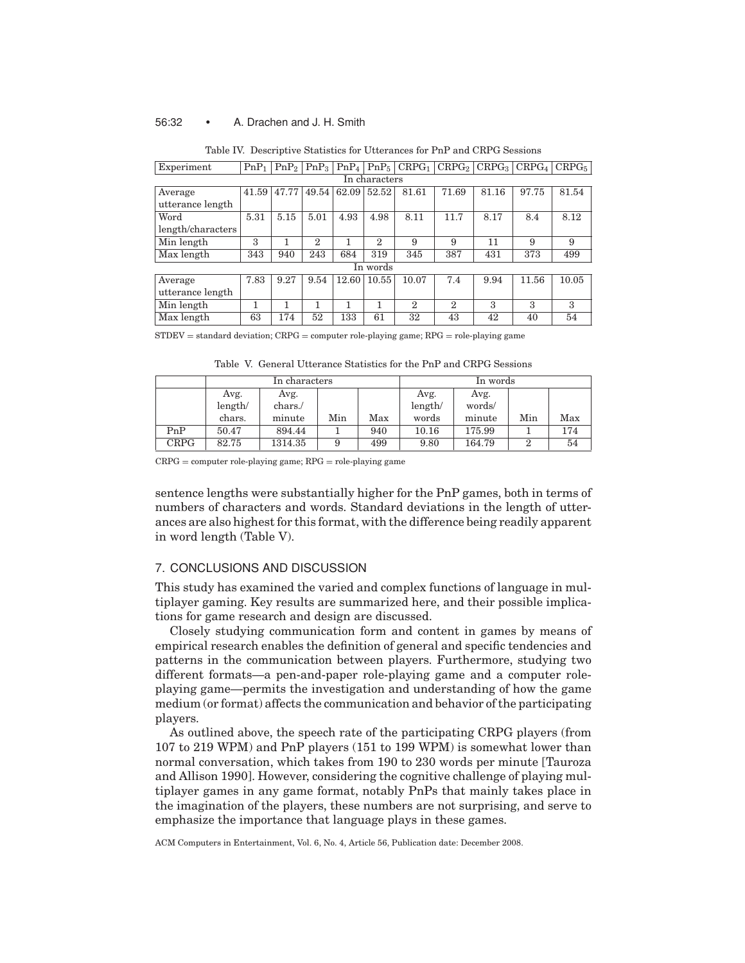#### 56:32 • A. Drachen and J. H. Smith

| In characters     |       |       |                   |      |              |              |                |       |       |       |
|-------------------|-------|-------|-------------------|------|--------------|--------------|----------------|-------|-------|-------|
| Average           | 41.59 | 47.77 | 49.54 62.09 52.52 |      |              | 81.61        | 71.69          | 81.16 | 97.75 | 81.54 |
| utterance length  |       |       |                   |      |              |              |                |       |       |       |
| Word              | 5.31  | 5.15  | 5.01              | 4.93 | 4.98         | 8.11         | 11.7           | 8.17  | 8.4   | 8.12  |
| length/characters |       |       |                   |      |              |              |                |       |       |       |
| Min length        | 3     |       | $\overline{2}$    |      | $\mathbf{2}$ | 9            | 9              | 11    | 9     | 9     |
| Max length        | 343   | 940   | 243               | 684  | 319          | 345          | 387            | 431   | 373   | 499   |
|                   |       |       |                   |      | In words     |              |                |       |       |       |
| Average           | 7.83  | 9.27  | 9.54              |      | 12.60 10.55  | 10.07        | 7.4            | 9.94  | 11.56 | 10.05 |
| utterance length  |       |       |                   |      |              |              |                |       |       |       |
| Min length        |       |       |                   |      |              | $\mathbf{2}$ | $\overline{2}$ | 3     | 3     | 3     |
| Max length        | 63    | 174   | 52                | 133  | 61           | 32           | 43             | 42    | 40    | 54    |
|                   |       |       |                   |      |              |              |                |       |       |       |

Table IV. Descriptive Statistics for Utterances for PnP and CRPG Sessions

Experiment  $\text{PnP}_1 \text{PnP}_2 \text{PnP}_3 \text{PnP}_4 \text{PnP}_5 \text{CRPG}_1 \text{CRPG}_2 \text{CRPG}_3 \text{CRPG}_4 \text{CRPG}_5$ 

 $STDEV = standard deviation$ ;  $CRPG = computer role-playing game$ ;  $RPG = role-playing game$ 

Table V. General Utterance Statistics for the PnP and CRPG Sessions

|             | In characters   |                 |     |     | In words        |                |     |     |
|-------------|-----------------|-----------------|-----|-----|-----------------|----------------|-----|-----|
|             | Avg.<br>length/ | Avg.<br>chars./ |     |     | Avg.<br>length/ | Avg.<br>words/ |     |     |
|             | chars.          | minute          | Min | Max | words           | minute         | Min | Max |
| PnP         | 50.47           | 894.44          |     | 940 | 10.16           | 175.99         |     | 174 |
| <b>CRPG</b> | 82.75           | 1314.35         |     | 499 | 9.80            | 164.79         |     | 54  |

 $CRPG = computer role-playing game; RPG = role-playing game$ 

sentence lengths were substantially higher for the PnP games, both in terms of numbers of characters and words. Standard deviations in the length of utterances are also highest for this format, with the difference being readily apparent in word length (Table V).

## 7. CONCLUSIONS AND DISCUSSION

This study has examined the varied and complex functions of language in multiplayer gaming. Key results are summarized here, and their possible implications for game research and design are discussed.

Closely studying communication form and content in games by means of empirical research enables the definition of general and specific tendencies and patterns in the communication between players. Furthermore, studying two different formats—a pen-and-paper role-playing game and a computer roleplaying game—permits the investigation and understanding of how the game medium (or format) affects the communication and behavior of the participating players.

As outlined above, the speech rate of the participating CRPG players (from 107 to 219 WPM) and PnP players (151 to 199 WPM) is somewhat lower than normal conversation, which takes from 190 to 230 words per minute [Tauroza and Allison 1990]. However, considering the cognitive challenge of playing multiplayer games in any game format, notably PnPs that mainly takes place in the imagination of the players, these numbers are not surprising, and serve to emphasize the importance that language plays in these games.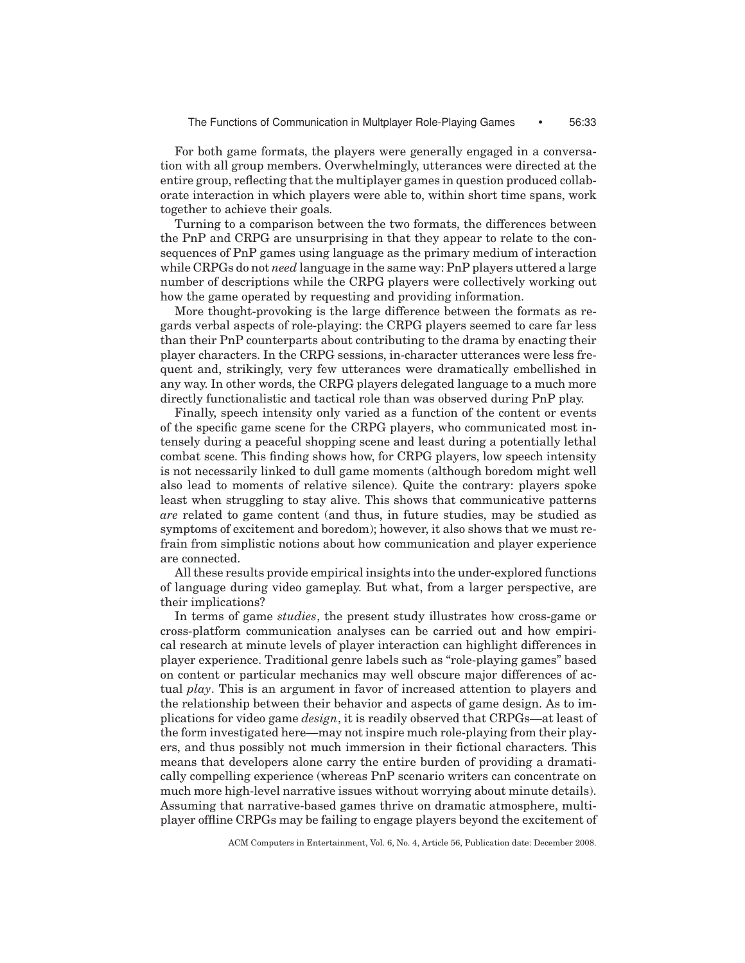For both game formats, the players were generally engaged in a conversation with all group members. Overwhelmingly, utterances were directed at the entire group, reflecting that the multiplayer games in question produced collaborate interaction in which players were able to, within short time spans, work together to achieve their goals.

Turning to a comparison between the two formats, the differences between the PnP and CRPG are unsurprising in that they appear to relate to the consequences of PnP games using language as the primary medium of interaction while CRPGs do not *need* language in the same way: PnP players uttered a large number of descriptions while the CRPG players were collectively working out how the game operated by requesting and providing information.

More thought-provoking is the large difference between the formats as regards verbal aspects of role-playing: the CRPG players seemed to care far less than their PnP counterparts about contributing to the drama by enacting their player characters. In the CRPG sessions, in-character utterances were less frequent and, strikingly, very few utterances were dramatically embellished in any way. In other words, the CRPG players delegated language to a much more directly functionalistic and tactical role than was observed during PnP play.

Finally, speech intensity only varied as a function of the content or events of the specific game scene for the CRPG players, who communicated most intensely during a peaceful shopping scene and least during a potentially lethal combat scene. This finding shows how, for CRPG players, low speech intensity is not necessarily linked to dull game moments (although boredom might well also lead to moments of relative silence). Quite the contrary: players spoke least when struggling to stay alive. This shows that communicative patterns *are* related to game content (and thus, in future studies, may be studied as symptoms of excitement and boredom); however, it also shows that we must refrain from simplistic notions about how communication and player experience are connected.

All these results provide empirical insights into the under-explored functions of language during video gameplay. But what, from a larger perspective, are their implications?

In terms of game *studies*, the present study illustrates how cross-game or cross-platform communication analyses can be carried out and how empirical research at minute levels of player interaction can highlight differences in player experience. Traditional genre labels such as "role-playing games" based on content or particular mechanics may well obscure major differences of actual *play*. This is an argument in favor of increased attention to players and the relationship between their behavior and aspects of game design. As to implications for video game *design*, it is readily observed that CRPGs—at least of the form investigated here—may not inspire much role-playing from their players, and thus possibly not much immersion in their fictional characters. This means that developers alone carry the entire burden of providing a dramatically compelling experience (whereas PnP scenario writers can concentrate on much more high-level narrative issues without worrying about minute details). Assuming that narrative-based games thrive on dramatic atmosphere, multiplayer offline CRPGs may be failing to engage players beyond the excitement of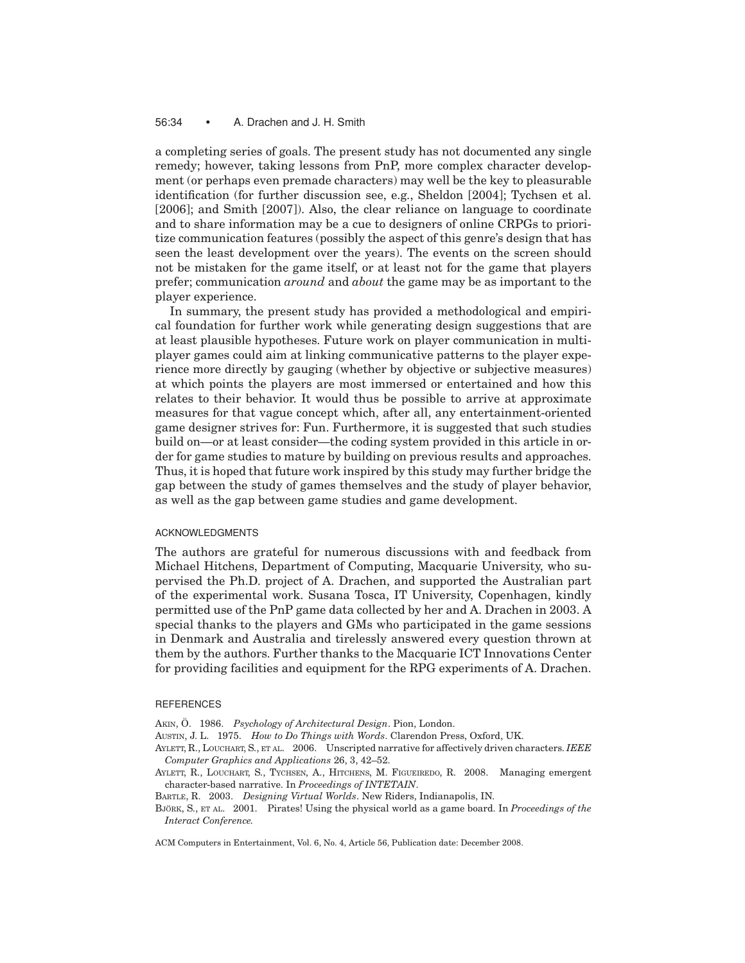#### 56:34 • A. Drachen and J. H. Smith

a completing series of goals. The present study has not documented any single remedy; however, taking lessons from PnP, more complex character development (or perhaps even premade characters) may well be the key to pleasurable identification (for further discussion see, e.g., Sheldon [2004]; Tychsen et al. [2006]; and Smith [2007]). Also, the clear reliance on language to coordinate and to share information may be a cue to designers of online CRPGs to prioritize communication features (possibly the aspect of this genre's design that has seen the least development over the years). The events on the screen should not be mistaken for the game itself, or at least not for the game that players prefer; communication *around* and *about* the game may be as important to the player experience.

In summary, the present study has provided a methodological and empirical foundation for further work while generating design suggestions that are at least plausible hypotheses. Future work on player communication in multiplayer games could aim at linking communicative patterns to the player experience more directly by gauging (whether by objective or subjective measures) at which points the players are most immersed or entertained and how this relates to their behavior. It would thus be possible to arrive at approximate measures for that vague concept which, after all, any entertainment-oriented game designer strives for: Fun. Furthermore, it is suggested that such studies build on—or at least consider—the coding system provided in this article in order for game studies to mature by building on previous results and approaches. Thus, it is hoped that future work inspired by this study may further bridge the gap between the study of games themselves and the study of player behavior, as well as the gap between game studies and game development.

#### ACKNOWLEDGMENTS

The authors are grateful for numerous discussions with and feedback from Michael Hitchens, Department of Computing, Macquarie University, who supervised the Ph.D. project of A. Drachen, and supported the Australian part of the experimental work. Susana Tosca, IT University, Copenhagen, kindly permitted use of the PnP game data collected by her and A. Drachen in 2003. A special thanks to the players and GMs who participated in the game sessions in Denmark and Australia and tirelessly answered every question thrown at them by the authors. Further thanks to the Macquarie ICT Innovations Center for providing facilities and equipment for the RPG experiments of A. Drachen.

#### REFERENCES

AKIN, Ö. 1986. Psychology of Architectural Design. Pion, London.

AUSTIN, J. L. 1975. *How to Do Things with Words*. Clarendon Press, Oxford, UK.

- AYLETT, R., LOUCHART, S., ET AL. 2006. Unscripted narrative for affectively driven characters. *IEEE Computer Graphics and Applications* 26, 3, 42–52.
- AYLETT, R., LOUCHART, S., TYCHSEN, A., HITCHENS, M. FIGUEIREDO, R. 2008. Managing emergent character-based narrative. In *Proceedings of INTETAIN*.

BARTLE, R. 2003. *Designing Virtual Worlds*. New Riders, Indianapolis, IN.

BJÖRK, S., ET AL. 2001. Pirates! Using the physical world as a game board. In *Proceedings of the Interact Conference.*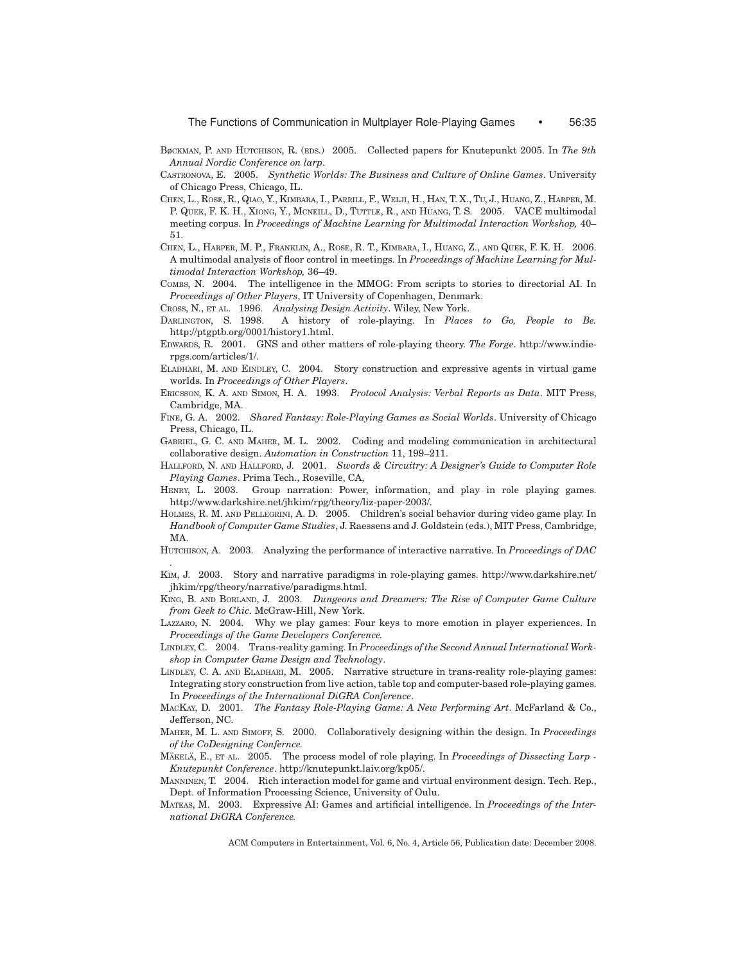- BøCKMAN, P. AND HUTCHISON, R. (EDS.) 2005. Collected papers for Knutepunkt 2005. In *The 9th Annual Nordic Conference on larp*.
- CASTRONOVA, E. 2005. *Synthetic Worlds: The Business and Culture of Online Games*. University of Chicago Press, Chicago, IL.
- CHEN, L., ROSE, R., QIAO, Y., KIMBARA, I., PARRILL, F., WELJI, H., HAN, T. X., TU, J., HUANG, Z., HARPER, M. P. QUEK, F. K. H., XIONG, Y., MCNEILL, D., TUTTLE, R., AND HUANG, T. S. 2005. VACE multimodal meeting corpus. In *Proceedings of Machine Learning for Multimodal Interaction Workshop,* 40– 51.
- CHEN, L., HARPER, M. P., FRANKLIN, A., ROSE, R. T., KIMBARA, I., HUANG, Z., AND QUEK, F. K. H. 2006. A multimodal analysis of floor control in meetings. In *Proceedings of Machine Learning for Multimodal Interaction Workshop,* 36–49.
- COMBS, N. 2004. The intelligence in the MMOG: From scripts to stories to directorial AI. In *Proceedings of Other Players*, IT University of Copenhagen, Denmark.
- CROSS, N., ET AL. 1996. *Analysing Design Activity*. Wiley, New York.
- DARLINGTON, S. 1998. A history of role-playing. In *Places to Go, People to Be.* http://ptgptb.org/0001/history1.html.
- EDWARDS, R. 2001. GNS and other matters of role-playing theory. *The Forge*. http://www.indierpgs.com/articles/1/.
- ELADHARI, M. AND EINDLEY, C. 2004. Story construction and expressive agents in virtual game worlds. In *Proceedings of Other Players*.
- ERICSSON, K. A. AND SIMON, H. A. 1993. *Protocol Analysis: Verbal Reports as Data*. MIT Press, Cambridge, MA.
- FINE, G. A. 2002. *Shared Fantasy: Role-Playing Games as Social Worlds*. University of Chicago Press, Chicago, IL.
- GABRIEL, G. C. AND MAHER, M. L. 2002. Coding and modeling communication in architectural collaborative design. *Automation in Construction* 11, 199–211.
- HALLFORD, N. AND HALLFORD, J. 2001. *Swords & Circuitry: A Designer's Guide to Computer Role Playing Games*. Prima Tech., Roseville, CA,
- HENRY, L. 2003. Group narration: Power, information, and play in role playing games. http://www.darkshire.net/jhkim/rpg/theory/liz-paper-2003/.
- HOLMES, R. M. AND PELLEGRINI, A. D. 2005. Children's social behavior during video game play. In *Handbook of Computer Game Studies*, J. Raessens and J. Goldstein (eds.), MIT Press, Cambridge, MA.
- HUTCHISON, A. 2003. Analyzing the performance of interactive narrative. In *Proceedings of DAC .*
- KIM, J. 2003. Story and narrative paradigms in role-playing games. http://www.darkshire.net/ jhkim/rpg/theory/narrative/paradigms.html.
- KING, B. AND BORLAND, J. 2003. *Dungeons and Dreamers: The Rise of Computer Game Culture from Geek to Chic*. McGraw-Hill, New York.
- LAZZARO, N. 2004. Why we play games: Four keys to more emotion in player experiences. In *Proceedings of the Game Developers Conference.*
- LINDLEY, C. 2004. Trans-reality gaming. In *Proceedings of the Second Annual International Workshop in Computer Game Design and Technology*.
- LINDLEY, C. A. AND ELADHARI, M. 2005. Narrative structure in trans-reality role-playing games: Integrating story construction from live action, table top and computer-based role-playing games. In *Proceedings of the International DiGRA Conference*.
- MACKAY, D. 2001. *The Fantasy Role-Playing Game: A New Performing Art*. McFarland & Co., Jefferson, NC.
- MAHER, M. L. AND SIMOFF, S. 2000. Collaboratively designing within the design. In *Proceedings of the CoDesigning Confernce.*
- MÄKELÄ, E., ET AL. 2005. The process model of role playing. In *Proceedings of Dissecting Larp* -*Knutepunkt Conference*. http://knutepunkt.laiv.org/kp05/.
- MANNINEN, T. 2004. Rich interaction model for game and virtual environment design. Tech. Rep., Dept. of Information Processing Science, University of Oulu.
- MATEAS, M. 2003. Expressive AI: Games and artificial intelligence. In *Proceedings of the International DiGRA Conference.*